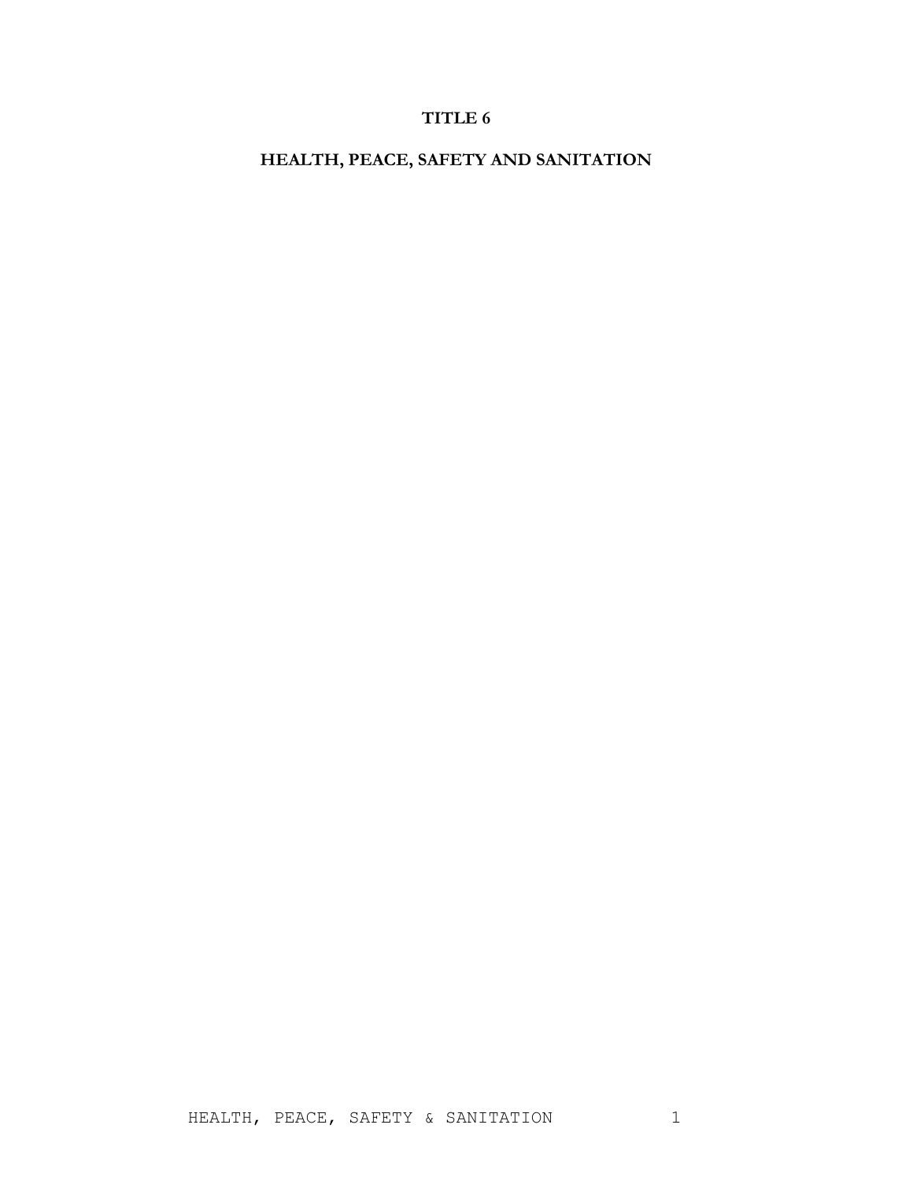# **TITLE 6**

**HEALTH, PEACE, SAFETY AND SANITATION**

HEALTH, PEACE, SAFETY & SANITATION 1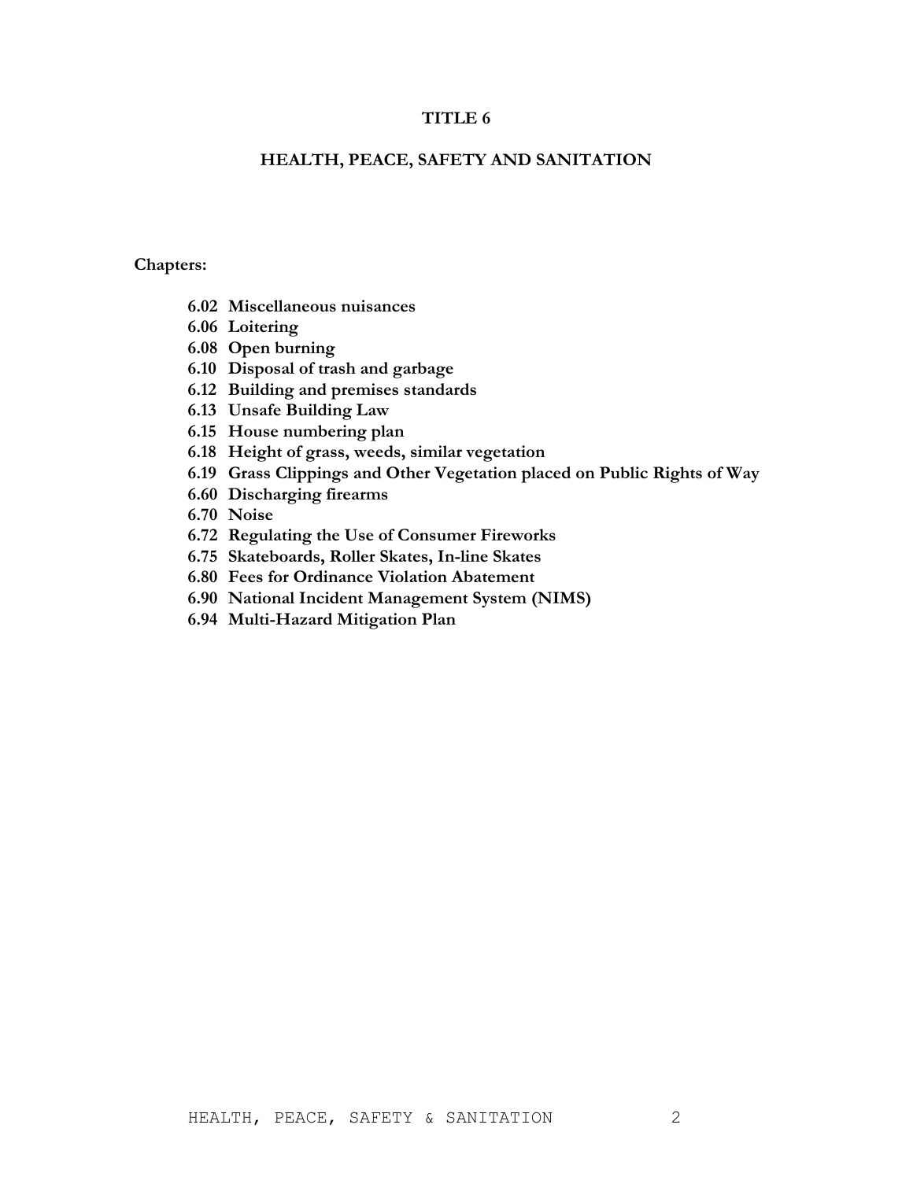# **TITLE 6**

# **HEALTH, PEACE, SAFETY AND SANITATION**

# **Chapters:**

- **6.02 Miscellaneous nuisances**
- **6.06 Loitering**
- **6.08 Open burning**
- **6.10 Disposal of trash and garbage**
- **6.12 Building and premises standards**
- **6.13 Unsafe Building Law**
- **6.15 House numbering plan**
- **6.18 Height of grass, weeds, similar vegetation**
- **6.19 Grass Clippings and Other Vegetation placed on Public Rights of Way**
- **6.60 Discharging firearms**
- **6.70 Noise**
- **6.72 Regulating the Use of Consumer Fireworks**
- **6.75 Skateboards, Roller Skates, In-line Skates**
- **6.80 Fees for Ordinance Violation Abatement**
- **6.90 National Incident Management System (NIMS)**
- **6.94 Multi-Hazard Mitigation Plan**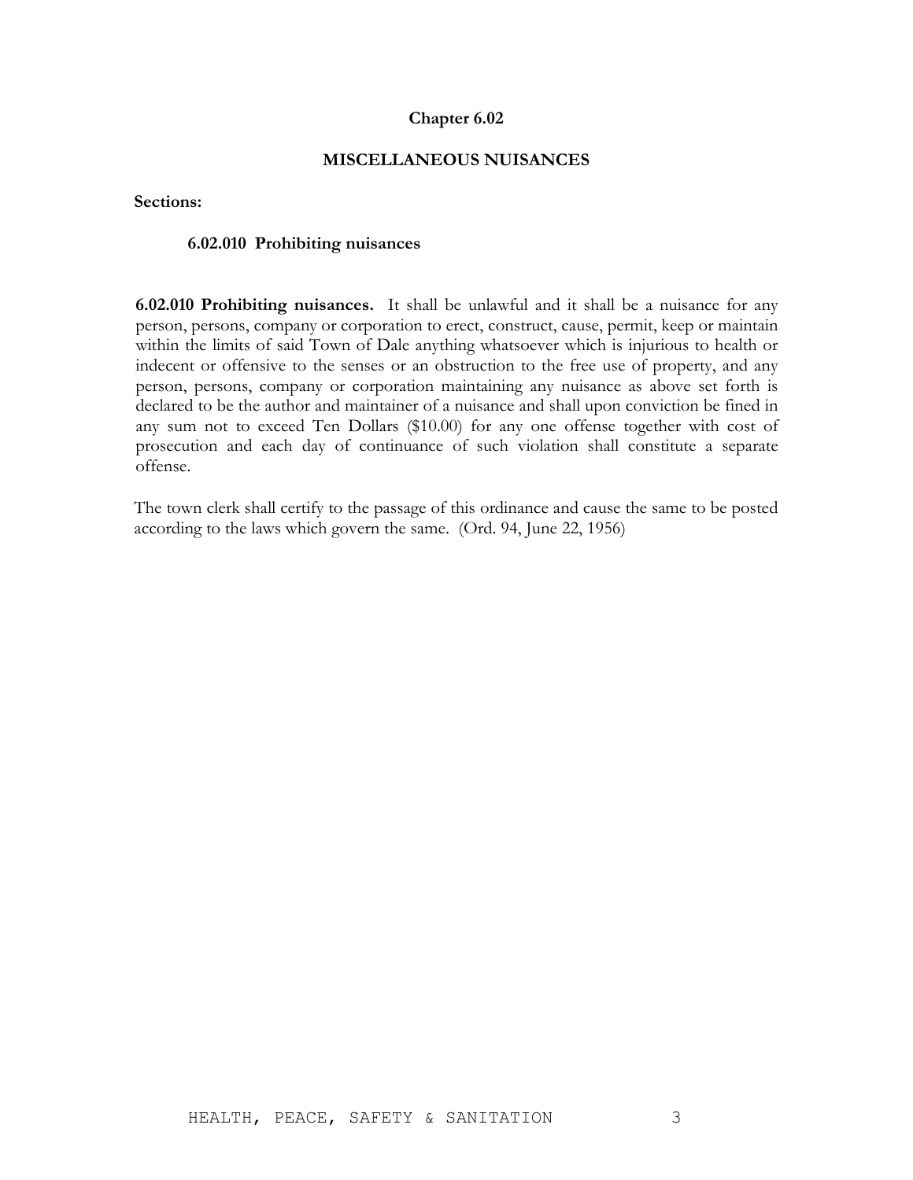# **MISCELLANEOUS NUISANCES**

**Sections:**

#### **6.02.010 Prohibiting nuisances**

**6.02.010 Prohibiting nuisances.** It shall be unlawful and it shall be a nuisance for any person, persons, company or corporation to erect, construct, cause, permit, keep or maintain within the limits of said Town of Dale anything whatsoever which is injurious to health or indecent or offensive to the senses or an obstruction to the free use of property, and any person, persons, company or corporation maintaining any nuisance as above set forth is declared to be the author and maintainer of a nuisance and shall upon conviction be fined in any sum not to exceed Ten Dollars (\$10.00) for any one offense together with cost of prosecution and each day of continuance of such violation shall constitute a separate offense.

The town clerk shall certify to the passage of this ordinance and cause the same to be posted according to the laws which govern the same. (Ord. 94, June 22, 1956)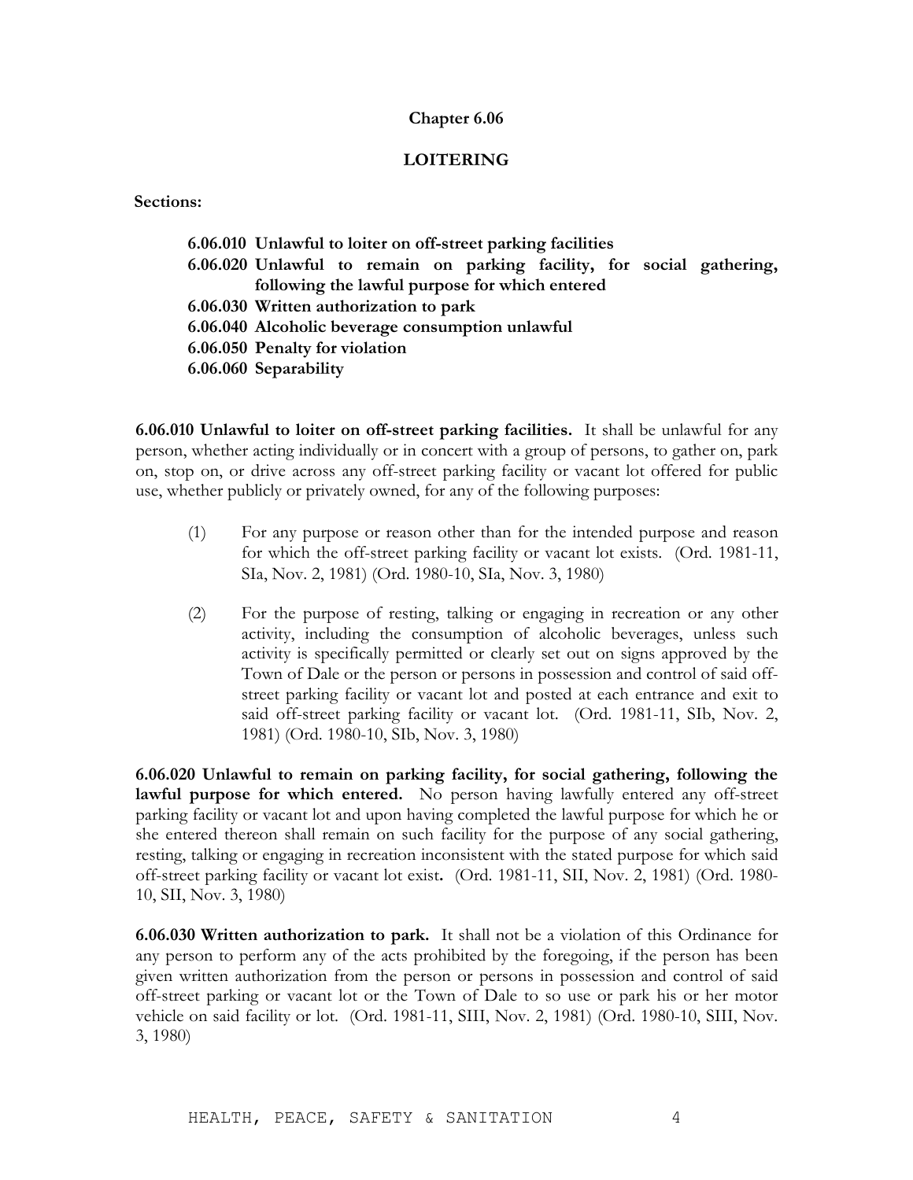# **LOITERING**

# **Sections:**

| 6.06.010 Unlawful to loiter on off-street parking facilities           |  |
|------------------------------------------------------------------------|--|
| 6.06.020 Unlawful to remain on parking facility, for social gathering, |  |
| following the lawful purpose for which entered                         |  |
| 6.06.030 Written authorization to park                                 |  |
| 6.06.040 Alcoholic beverage consumption unlawful                       |  |
| 6.06.050 Penalty for violation                                         |  |
| 6.06.060 Separability                                                  |  |
|                                                                        |  |

**6.06.010 Unlawful to loiter on off-street parking facilities.** It shall be unlawful for any person, whether acting individually or in concert with a group of persons, to gather on, park on, stop on, or drive across any off-street parking facility or vacant lot offered for public use, whether publicly or privately owned, for any of the following purposes:

- (1) For any purpose or reason other than for the intended purpose and reason for which the off-street parking facility or vacant lot exists. (Ord. 1981-11, SIa, Nov. 2, 1981) (Ord. 1980-10, SIa, Nov. 3, 1980)
- (2) For the purpose of resting, talking or engaging in recreation or any other activity, including the consumption of alcoholic beverages, unless such activity is specifically permitted or clearly set out on signs approved by the Town of Dale or the person or persons in possession and control of said offstreet parking facility or vacant lot and posted at each entrance and exit to said off-street parking facility or vacant lot. (Ord. 1981-11, SIb, Nov. 2, 1981) (Ord. 1980-10, SIb, Nov. 3, 1980)

**6.06.020 Unlawful to remain on parking facility, for social gathering, following the lawful purpose for which entered.** No person having lawfully entered any off-street parking facility or vacant lot and upon having completed the lawful purpose for which he or she entered thereon shall remain on such facility for the purpose of any social gathering, resting, talking or engaging in recreation inconsistent with the stated purpose for which said off-street parking facility or vacant lot exist**.** (Ord. 1981-11, SII, Nov. 2, 1981) (Ord. 1980- 10, SII, Nov. 3, 1980)

**6.06.030 Written authorization to park.** It shall not be a violation of this Ordinance for any person to perform any of the acts prohibited by the foregoing, if the person has been given written authorization from the person or persons in possession and control of said off-street parking or vacant lot or the Town of Dale to so use or park his or her motor vehicle on said facility or lot. (Ord. 1981-11, SIII, Nov. 2, 1981) (Ord. 1980-10, SIII, Nov. 3, 1980)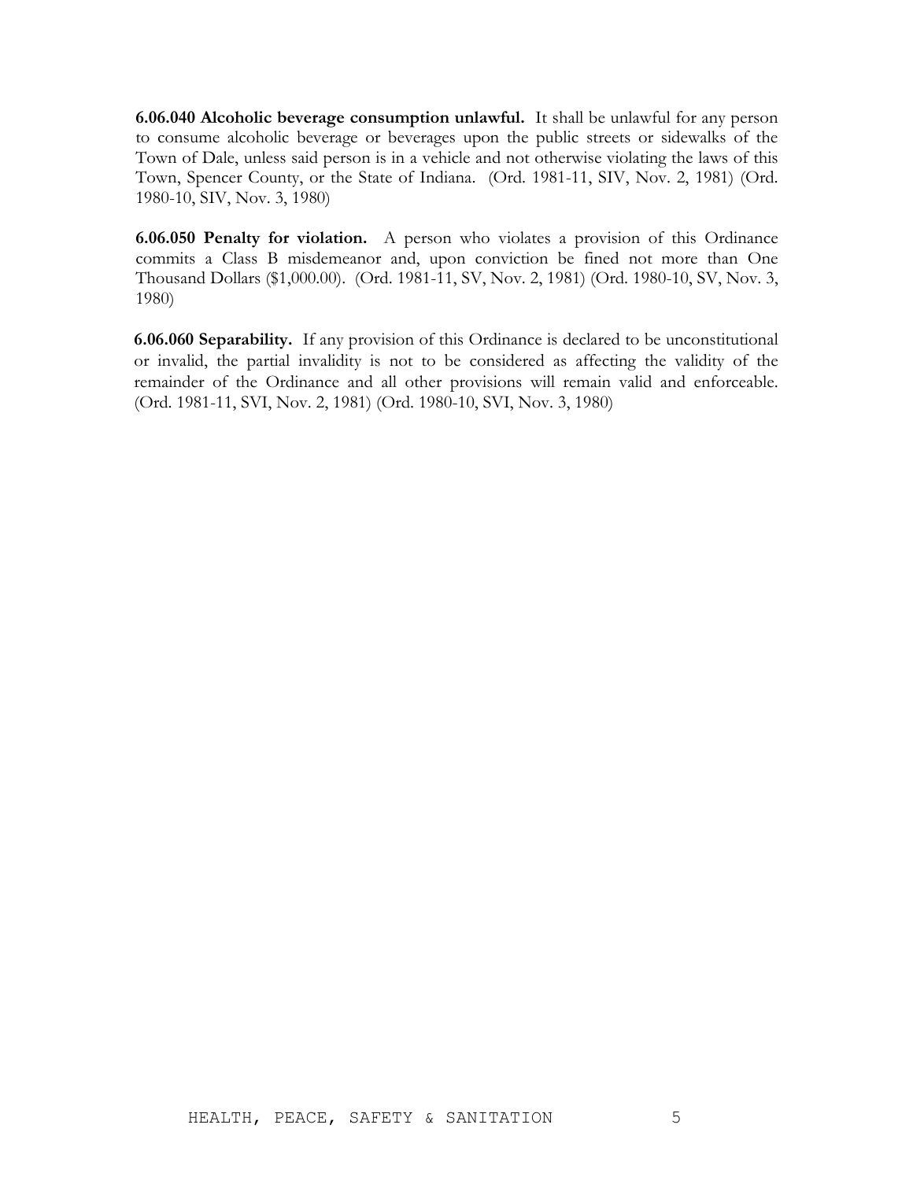**6.06.040 Alcoholic beverage consumption unlawful.** It shall be unlawful for any person to consume alcoholic beverage or beverages upon the public streets or sidewalks of the Town of Dale, unless said person is in a vehicle and not otherwise violating the laws of this Town, Spencer County, or the State of Indiana. (Ord. 1981-11, SIV, Nov. 2, 1981) (Ord. 1980-10, SIV, Nov. 3, 1980)

**6.06.050 Penalty for violation.** A person who violates a provision of this Ordinance commits a Class B misdemeanor and, upon conviction be fined not more than One Thousand Dollars (\$1,000.00). (Ord. 1981-11, SV, Nov. 2, 1981) (Ord. 1980-10, SV, Nov. 3, 1980)

**6.06.060 Separability.** If any provision of this Ordinance is declared to be unconstitutional or invalid, the partial invalidity is not to be considered as affecting the validity of the remainder of the Ordinance and all other provisions will remain valid and enforceable. (Ord. 1981-11, SVI, Nov. 2, 1981) (Ord. 1980-10, SVI, Nov. 3, 1980)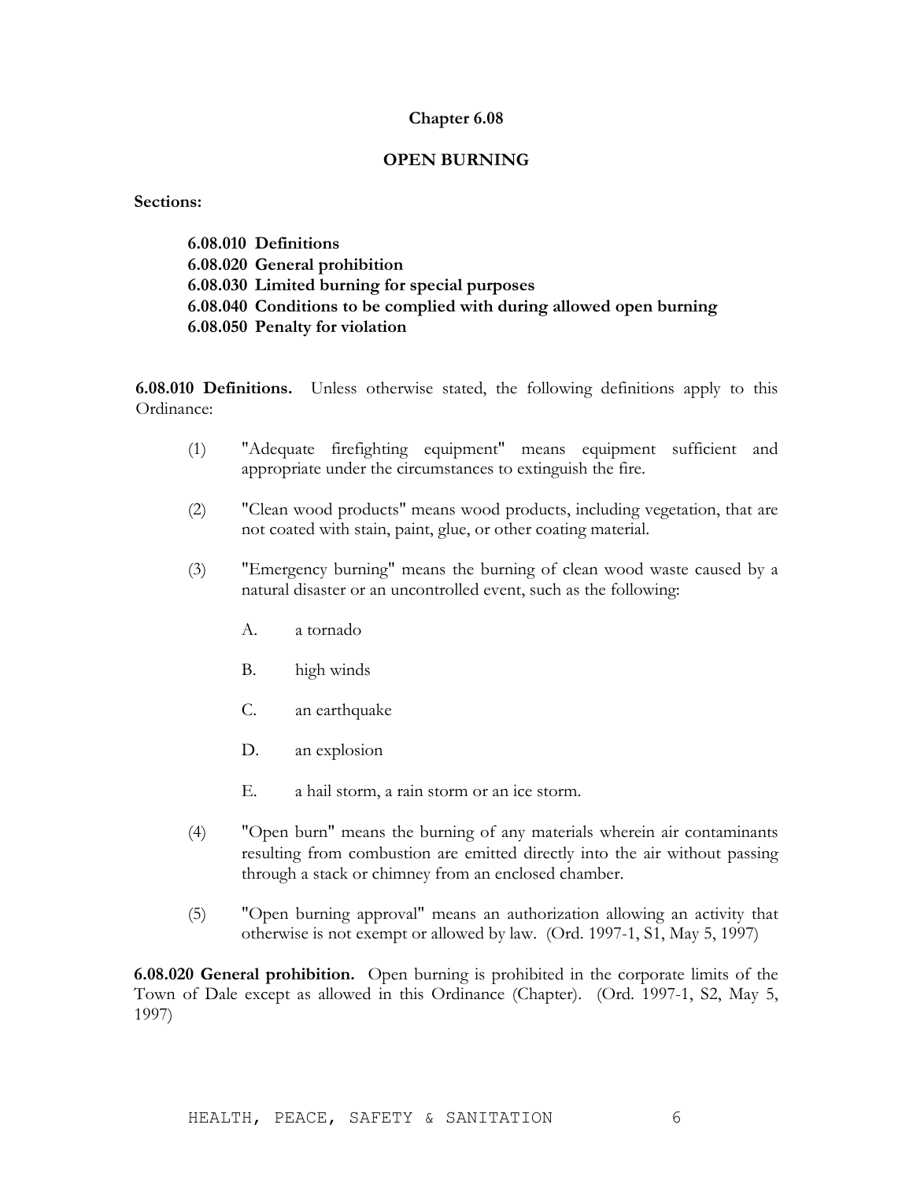### **OPEN BURNING**

#### **Sections:**

**6.08.010 Definitions 6.08.020 General prohibition 6.08.030 Limited burning for special purposes 6.08.040 Conditions to be complied with during allowed open burning 6.08.050 Penalty for violation**

**6.08.010 Definitions.** Unless otherwise stated, the following definitions apply to this Ordinance:

- (1) "Adequate firefighting equipment" means equipment sufficient and appropriate under the circumstances to extinguish the fire.
- (2) "Clean wood products" means wood products, including vegetation, that are not coated with stain, paint, glue, or other coating material.
- (3) "Emergency burning" means the burning of clean wood waste caused by a natural disaster or an uncontrolled event, such as the following:
	- A. a tornado
	- B. high winds
	- C. an earthquake
	- D. an explosion
	- E. a hail storm, a rain storm or an ice storm.
- (4) "Open burn" means the burning of any materials wherein air contaminants resulting from combustion are emitted directly into the air without passing through a stack or chimney from an enclosed chamber.
- (5) "Open burning approval" means an authorization allowing an activity that otherwise is not exempt or allowed by law. (Ord. 1997-1, S1, May 5, 1997)

**6.08.020 General prohibition.** Open burning is prohibited in the corporate limits of the Town of Dale except as allowed in this Ordinance (Chapter). (Ord. 1997-1, S2, May 5, 1997)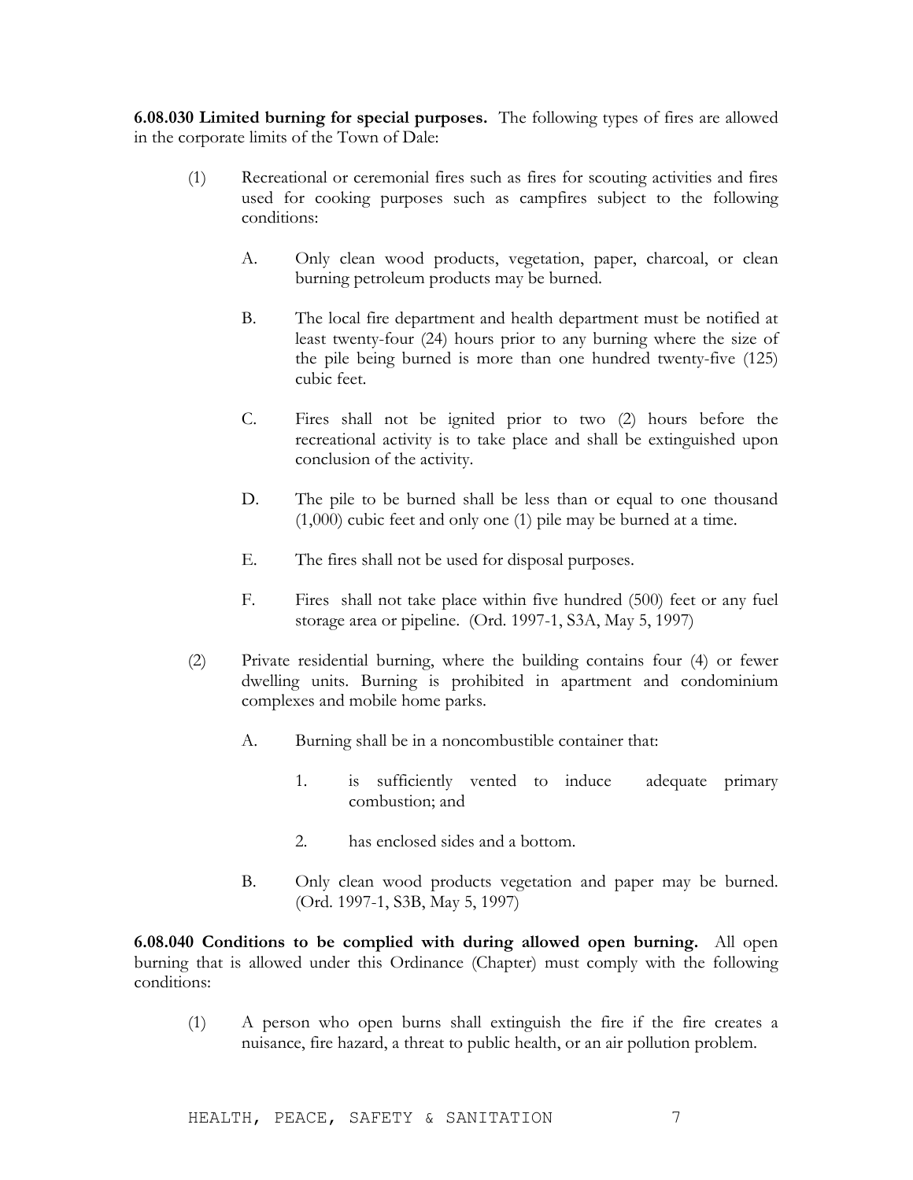**6.08.030 Limited burning for special purposes.** The following types of fires are allowed in the corporate limits of the Town of Dale:

- (1) Recreational or ceremonial fires such as fires for scouting activities and fires used for cooking purposes such as campfires subject to the following conditions:
	- A. Only clean wood products, vegetation, paper, charcoal, or clean burning petroleum products may be burned.
	- B. The local fire department and health department must be notified at least twenty-four (24) hours prior to any burning where the size of the pile being burned is more than one hundred twenty-five (125) cubic feet.
	- C. Fires shall not be ignited prior to two (2) hours before the recreational activity is to take place and shall be extinguished upon conclusion of the activity.
	- D. The pile to be burned shall be less than or equal to one thousand (1,000) cubic feet and only one (1) pile may be burned at a time.
	- E. The fires shall not be used for disposal purposes.
	- F. Fires shall not take place within five hundred (500) feet or any fuel storage area or pipeline. (Ord. 1997-1, S3A, May 5, 1997)
- (2) Private residential burning, where the building contains four (4) or fewer dwelling units. Burning is prohibited in apartment and condominium complexes and mobile home parks.
	- A. Burning shall be in a noncombustible container that:
		- 1. is sufficiently vented to induce adequate primary combustion; and
		- 2. has enclosed sides and a bottom.
	- B. Only clean wood products vegetation and paper may be burned. (Ord. 1997-1, S3B, May 5, 1997)

**6.08.040 Conditions to be complied with during allowed open burning.** All open burning that is allowed under this Ordinance (Chapter) must comply with the following conditions:

(1) A person who open burns shall extinguish the fire if the fire creates a nuisance, fire hazard, a threat to public health, or an air pollution problem.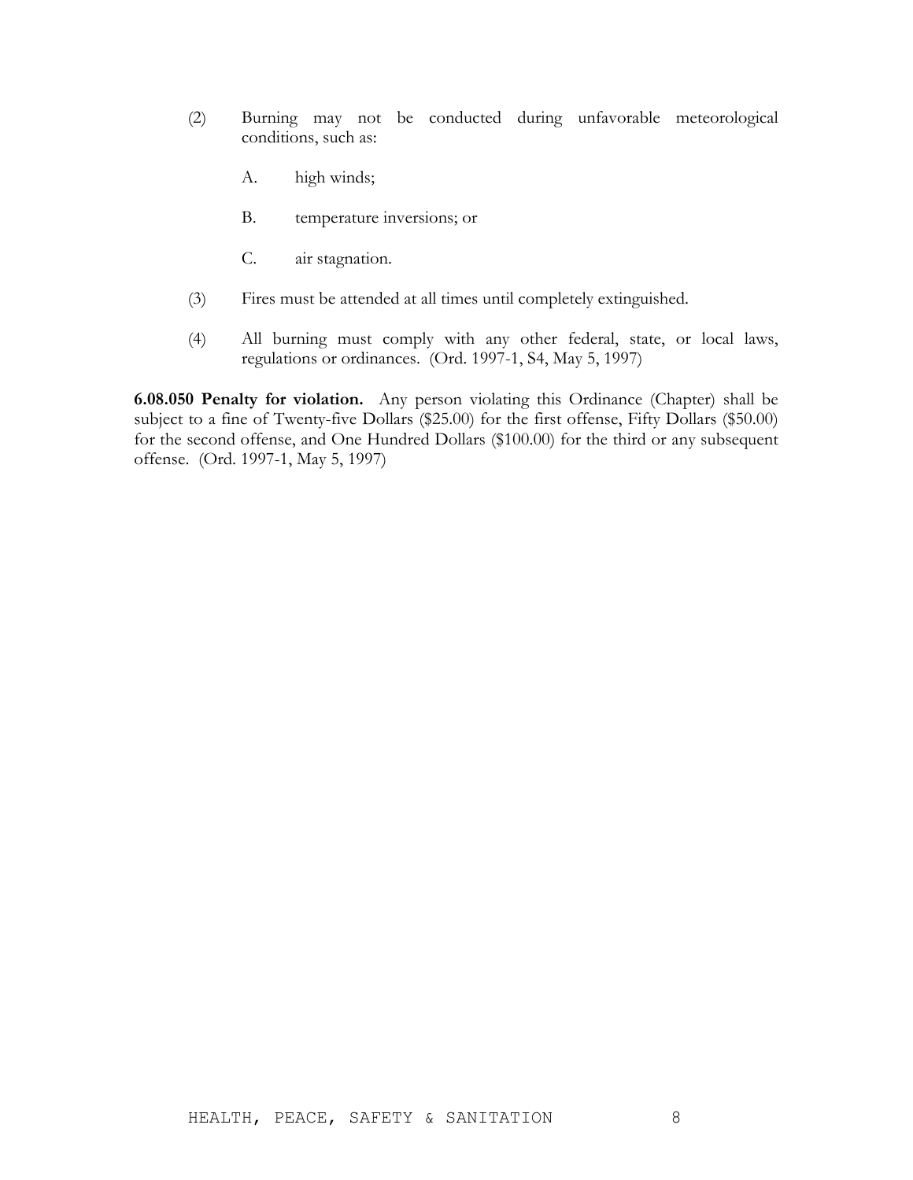- (2) Burning may not be conducted during unfavorable meteorological conditions, such as:
	- A. high winds;
	- B. temperature inversions; or
	- C. air stagnation.
- (3) Fires must be attended at all times until completely extinguished.
- (4) All burning must comply with any other federal, state, or local laws, regulations or ordinances. (Ord. 1997-1, S4, May 5, 1997)

**6.08.050 Penalty for violation.** Any person violating this Ordinance (Chapter) shall be subject to a fine of Twenty-five Dollars (\$25.00) for the first offense, Fifty Dollars (\$50.00) for the second offense, and One Hundred Dollars (\$100.00) for the third or any subsequent offense. (Ord. 1997-1, May 5, 1997)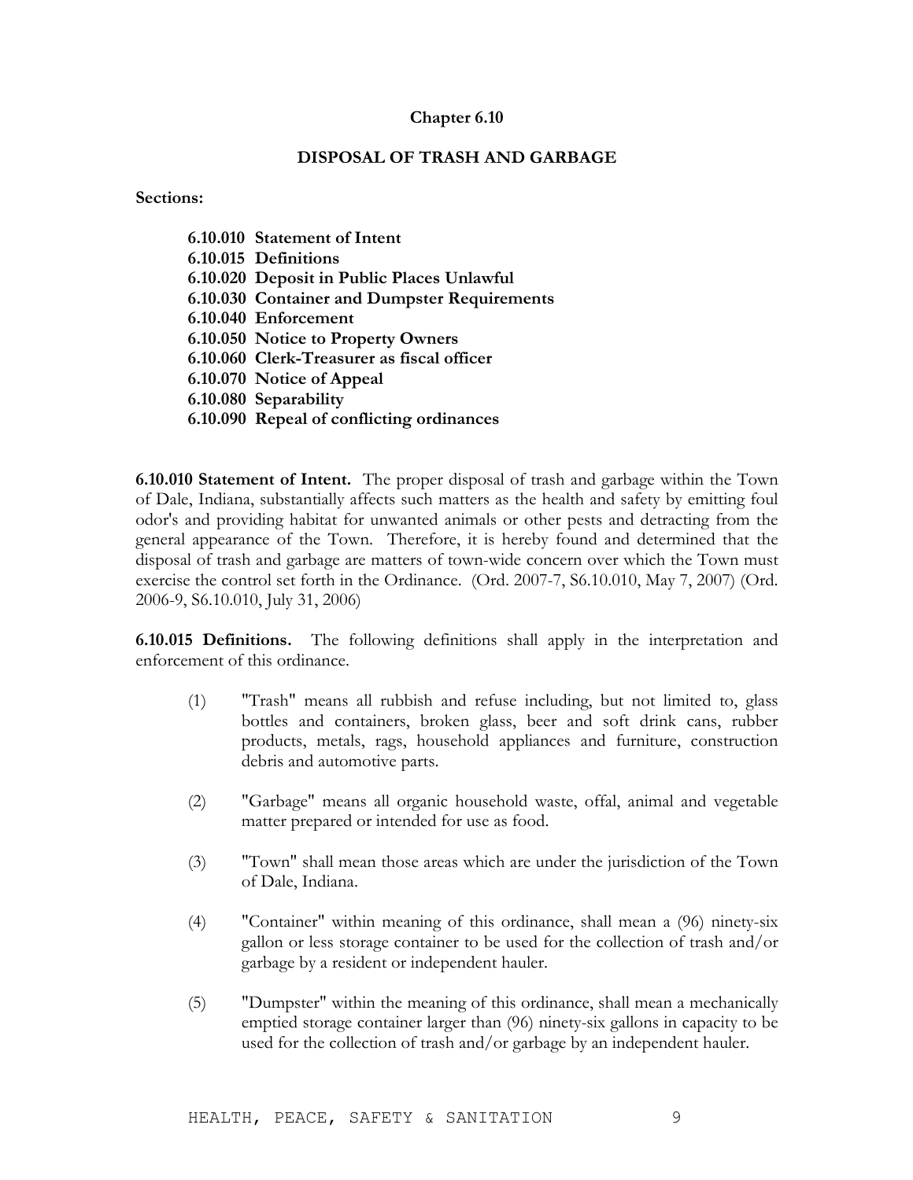# **DISPOSAL OF TRASH AND GARBAGE**

#### **Sections:**

| 6.10.010 Statement of Intent                 |
|----------------------------------------------|
| 6.10.015 Definitions                         |
| 6.10.020 Deposit in Public Places Unlawful   |
| 6.10.030 Container and Dumpster Requirements |
| 6.10.040 Enforcement                         |
| 6.10.050 Notice to Property Owners           |
| 6.10.060 Clerk-Treasurer as fiscal officer   |
| 6.10.070 Notice of Appeal                    |
| 6.10.080 Separability                        |
| 6.10.090 Repeal of conflicting ordinances    |

**6.10.010 Statement of Intent.** The proper disposal of trash and garbage within the Town of Dale, Indiana, substantially affects such matters as the health and safety by emitting foul odor's and providing habitat for unwanted animals or other pests and detracting from the general appearance of the Town. Therefore, it is hereby found and determined that the disposal of trash and garbage are matters of town-wide concern over which the Town must exercise the control set forth in the Ordinance. (Ord. 2007-7, S6.10.010, May 7, 2007) (Ord. 2006-9, S6.10.010, July 31, 2006)

**6.10.015 Definitions.** The following definitions shall apply in the interpretation and enforcement of this ordinance.

- (1) "Trash" means all rubbish and refuse including, but not limited to, glass bottles and containers, broken glass, beer and soft drink cans, rubber products, metals, rags, household appliances and furniture, construction debris and automotive parts.
- (2) "Garbage" means all organic household waste, offal, animal and vegetable matter prepared or intended for use as food.
- (3) "Town" shall mean those areas which are under the jurisdiction of the Town of Dale, Indiana.
- (4) "Container" within meaning of this ordinance, shall mean a (96) ninety-six gallon or less storage container to be used for the collection of trash and/or garbage by a resident or independent hauler.
- (5) "Dumpster" within the meaning of this ordinance, shall mean a mechanically emptied storage container larger than (96) ninety-six gallons in capacity to be used for the collection of trash and/or garbage by an independent hauler.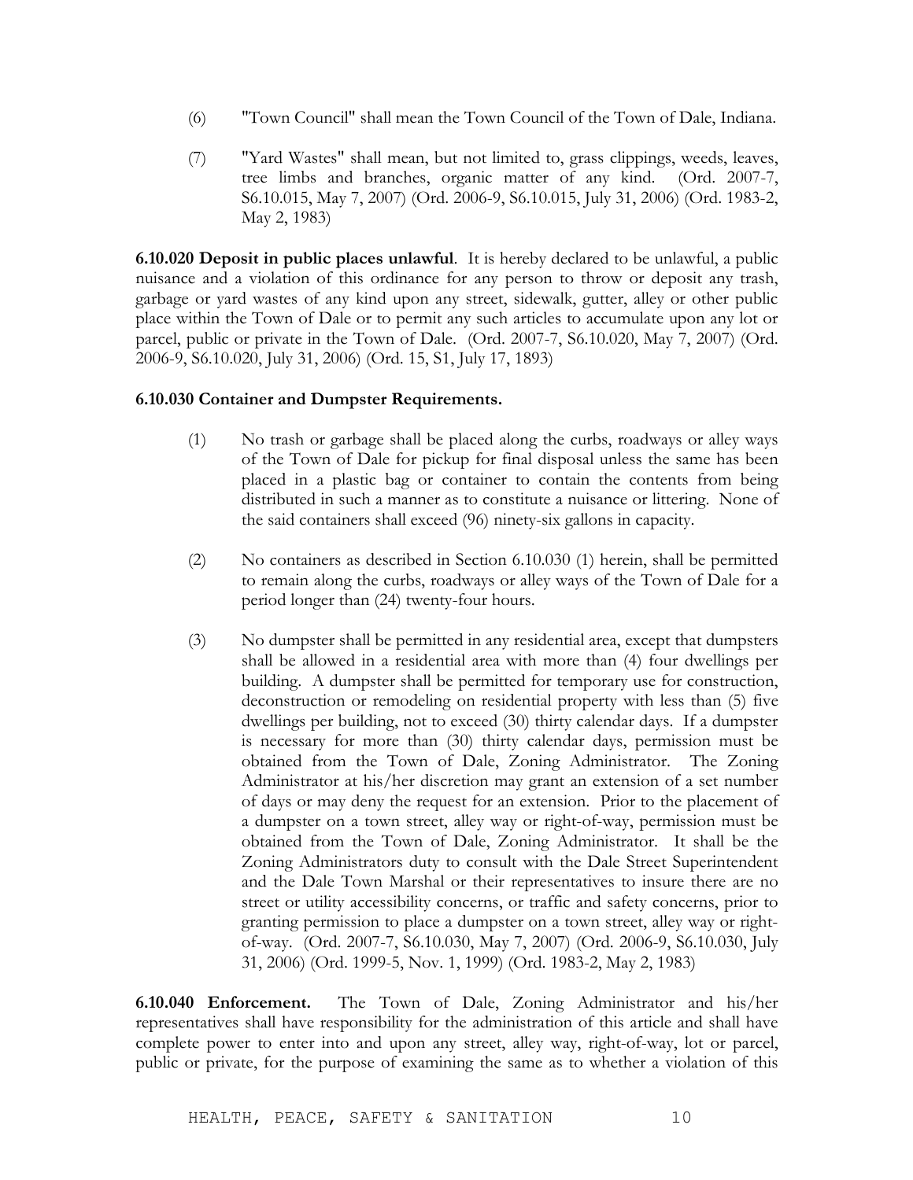- (6) "Town Council" shall mean the Town Council of the Town of Dale, Indiana.
- (7) "Yard Wastes" shall mean, but not limited to, grass clippings, weeds, leaves, tree limbs and branches, organic matter of any kind. (Ord. 2007-7, S6.10.015, May 7, 2007) (Ord. 2006-9, S6.10.015, July 31, 2006) (Ord. 1983-2, May 2, 1983)

**6.10.020 Deposit in public places unlawful**. It is hereby declared to be unlawful, a public nuisance and a violation of this ordinance for any person to throw or deposit any trash, garbage or yard wastes of any kind upon any street, sidewalk, gutter, alley or other public place within the Town of Dale or to permit any such articles to accumulate upon any lot or parcel, public or private in the Town of Dale. (Ord. 2007-7, S6.10.020, May 7, 2007) (Ord. 2006-9, S6.10.020, July 31, 2006) (Ord. 15, S1, July 17, 1893)

# **6.10.030 Container and Dumpster Requirements.**

- (1) No trash or garbage shall be placed along the curbs, roadways or alley ways of the Town of Dale for pickup for final disposal unless the same has been placed in a plastic bag or container to contain the contents from being distributed in such a manner as to constitute a nuisance or littering. None of the said containers shall exceed (96) ninety-six gallons in capacity.
- (2) No containers as described in Section 6.10.030 (1) herein, shall be permitted to remain along the curbs, roadways or alley ways of the Town of Dale for a period longer than (24) twenty-four hours.
- (3) No dumpster shall be permitted in any residential area, except that dumpsters shall be allowed in a residential area with more than (4) four dwellings per building. A dumpster shall be permitted for temporary use for construction, deconstruction or remodeling on residential property with less than (5) five dwellings per building, not to exceed (30) thirty calendar days. If a dumpster is necessary for more than (30) thirty calendar days, permission must be obtained from the Town of Dale, Zoning Administrator. The Zoning Administrator at his/her discretion may grant an extension of a set number of days or may deny the request for an extension. Prior to the placement of a dumpster on a town street, alley way or right-of-way, permission must be obtained from the Town of Dale, Zoning Administrator. It shall be the Zoning Administrators duty to consult with the Dale Street Superintendent and the Dale Town Marshal or their representatives to insure there are no street or utility accessibility concerns, or traffic and safety concerns, prior to granting permission to place a dumpster on a town street, alley way or rightof-way. (Ord. 2007-7, S6.10.030, May 7, 2007) (Ord. 2006-9, S6.10.030, July 31, 2006) (Ord. 1999-5, Nov. 1, 1999) (Ord. 1983-2, May 2, 1983)

**6.10.040 Enforcement.** The Town of Dale, Zoning Administrator and his/her representatives shall have responsibility for the administration of this article and shall have complete power to enter into and upon any street, alley way, right-of-way, lot or parcel, public or private, for the purpose of examining the same as to whether a violation of this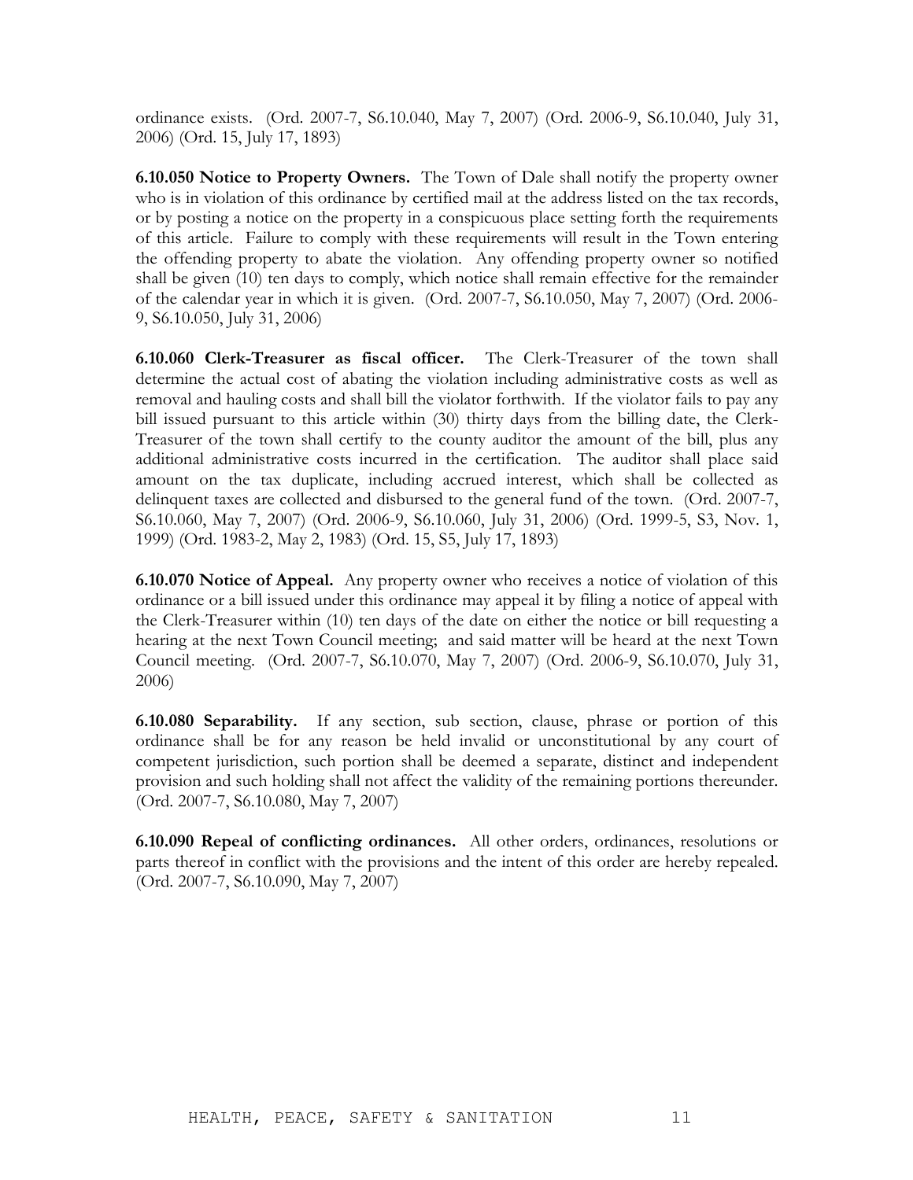ordinance exists. (Ord. 2007-7, S6.10.040, May 7, 2007) (Ord. 2006-9, S6.10.040, July 31, 2006) (Ord. 15, July 17, 1893)

**6.10.050 Notice to Property Owners.** The Town of Dale shall notify the property owner who is in violation of this ordinance by certified mail at the address listed on the tax records, or by posting a notice on the property in a conspicuous place setting forth the requirements of this article. Failure to comply with these requirements will result in the Town entering the offending property to abate the violation. Any offending property owner so notified shall be given (10) ten days to comply, which notice shall remain effective for the remainder of the calendar year in which it is given. (Ord. 2007-7, S6.10.050, May 7, 2007) (Ord. 2006- 9, S6.10.050, July 31, 2006)

**6.10.060 Clerk-Treasurer as fiscal officer.** The Clerk-Treasurer of the town shall determine the actual cost of abating the violation including administrative costs as well as removal and hauling costs and shall bill the violator forthwith. If the violator fails to pay any bill issued pursuant to this article within (30) thirty days from the billing date, the Clerk-Treasurer of the town shall certify to the county auditor the amount of the bill, plus any additional administrative costs incurred in the certification. The auditor shall place said amount on the tax duplicate, including accrued interest, which shall be collected as delinquent taxes are collected and disbursed to the general fund of the town. (Ord. 2007-7, S6.10.060, May 7, 2007) (Ord. 2006-9, S6.10.060, July 31, 2006) (Ord. 1999-5, S3, Nov. 1, 1999) (Ord. 1983-2, May 2, 1983) (Ord. 15, S5, July 17, 1893)

**6.10.070 Notice of Appeal.** Any property owner who receives a notice of violation of this ordinance or a bill issued under this ordinance may appeal it by filing a notice of appeal with the Clerk-Treasurer within (10) ten days of the date on either the notice or bill requesting a hearing at the next Town Council meeting; and said matter will be heard at the next Town Council meeting. (Ord. 2007-7, S6.10.070, May 7, 2007) (Ord. 2006-9, S6.10.070, July 31, 2006)

**6.10.080 Separability.** If any section, sub section, clause, phrase or portion of this ordinance shall be for any reason be held invalid or unconstitutional by any court of competent jurisdiction, such portion shall be deemed a separate, distinct and independent provision and such holding shall not affect the validity of the remaining portions thereunder. (Ord. 2007-7, S6.10.080, May 7, 2007)

**6.10.090 Repeal of conflicting ordinances.** All other orders, ordinances, resolutions or parts thereof in conflict with the provisions and the intent of this order are hereby repealed. (Ord. 2007-7, S6.10.090, May 7, 2007)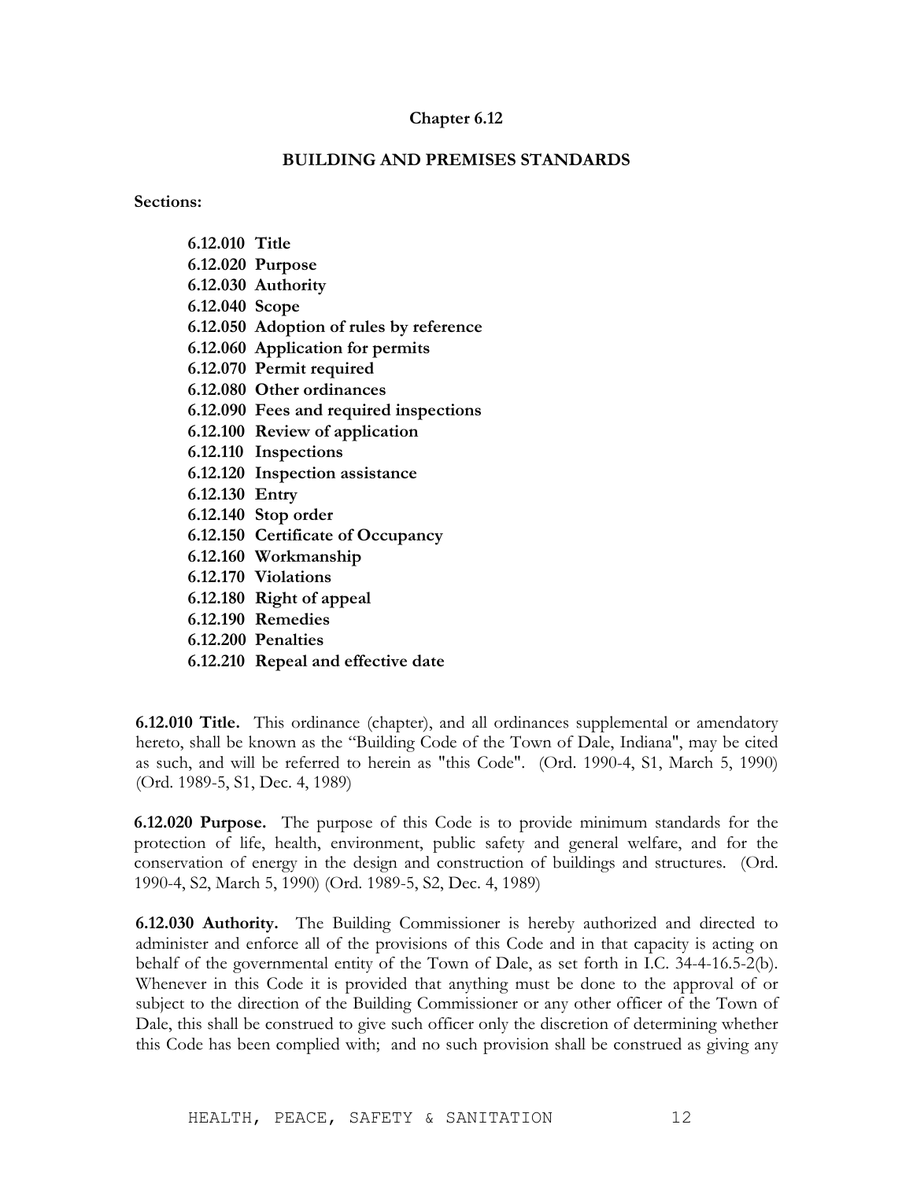# **BUILDING AND PREMISES STANDARDS**

**Sections:**

| 6.12.010 Title |                                         |
|----------------|-----------------------------------------|
|                | 6.12.020 Purpose                        |
|                | 6.12.030 Authority                      |
| 6.12.040 Scope |                                         |
|                | 6.12.050 Adoption of rules by reference |
|                | 6.12.060 Application for permits        |
|                | 6.12.070 Permit required                |
|                | 6.12.080 Other ordinances               |
|                | 6.12.090 Fees and required inspections  |
|                | 6.12.100 Review of application          |
|                | 6.12.110 Inspections                    |
|                | 6.12.120 Inspection assistance          |
| 6.12.130 Entry |                                         |
|                | 6.12.140 Stop order                     |
|                | 6.12.150 Certificate of Occupancy       |
|                | 6.12.160 Workmanship                    |
|                | 6.12.170 Violations                     |
|                | 6.12.180 Right of appeal                |
|                | 6.12.190 Remedies                       |

- **6.12.200 Penalties**
- **6.12.210 Repeal and effective date**

**6.12.010 Title.** This ordinance (chapter), and all ordinances supplemental or amendatory hereto, shall be known as the "Building Code of the Town of Dale, Indiana", may be cited as such, and will be referred to herein as "this Code". (Ord. 1990-4, S1, March 5, 1990) (Ord. 1989-5, S1, Dec. 4, 1989)

**6.12.020 Purpose.** The purpose of this Code is to provide minimum standards for the protection of life, health, environment, public safety and general welfare, and for the conservation of energy in the design and construction of buildings and structures. (Ord. 1990-4, S2, March 5, 1990) (Ord. 1989-5, S2, Dec. 4, 1989)

**6.12.030 Authority.** The Building Commissioner is hereby authorized and directed to administer and enforce all of the provisions of this Code and in that capacity is acting on behalf of the governmental entity of the Town of Dale, as set forth in I.C. 34-4-16.5-2(b). Whenever in this Code it is provided that anything must be done to the approval of or subject to the direction of the Building Commissioner or any other officer of the Town of Dale, this shall be construed to give such officer only the discretion of determining whether this Code has been complied with; and no such provision shall be construed as giving any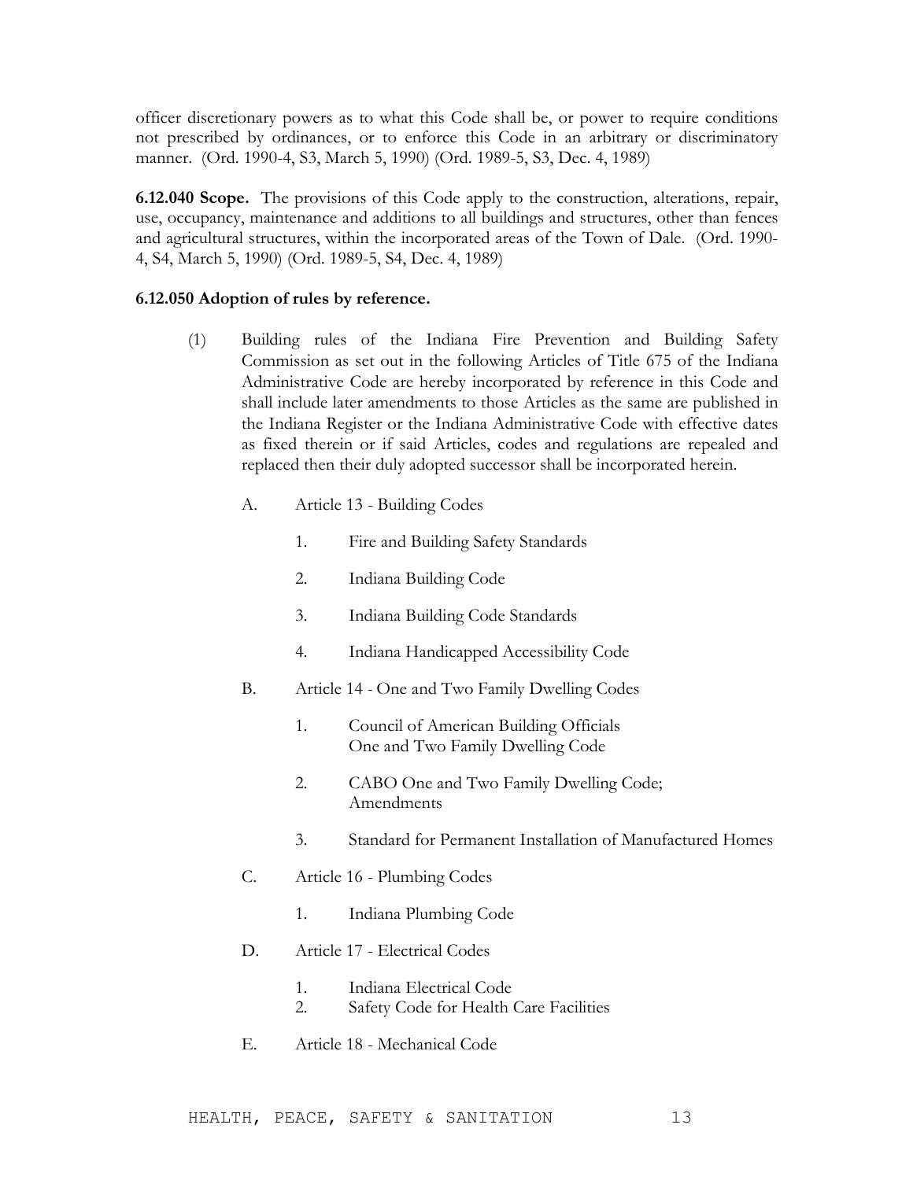officer discretionary powers as to what this Code shall be, or power to require conditions not prescribed by ordinances, or to enforce this Code in an arbitrary or discriminatory manner. (Ord. 1990-4, S3, March 5, 1990) (Ord. 1989-5, S3, Dec. 4, 1989)

**6.12.040 Scope.** The provisions of this Code apply to the construction, alterations, repair, use, occupancy, maintenance and additions to all buildings and structures, other than fences and agricultural structures, within the incorporated areas of the Town of Dale. (Ord. 1990- 4, S4, March 5, 1990) (Ord. 1989-5, S4, Dec. 4, 1989)

### **6.12.050 Adoption of rules by reference.**

- (1) Building rules of the Indiana Fire Prevention and Building Safety Commission as set out in the following Articles of Title 675 of the Indiana Administrative Code are hereby incorporated by reference in this Code and shall include later amendments to those Articles as the same are published in the Indiana Register or the Indiana Administrative Code with effective dates as fixed therein or if said Articles, codes and regulations are repealed and replaced then their duly adopted successor shall be incorporated herein.
	- A. Article 13 Building Codes
		- 1. Fire and Building Safety Standards
		- 2. Indiana Building Code
		- 3. Indiana Building Code Standards
		- 4. Indiana Handicapped Accessibility Code
	- B. Article 14 *-* One and Two Family Dwelling Codes
		- 1. Council of American Building Officials One and Two Family Dwelling Code
		- 2. CABO One and Two Family Dwelling Code; Amendments
		- 3. Standard for Permanent Installation of Manufactured Homes
	- C. Article 16 Plumbing Codes
		- 1. Indiana Plumbing Code
	- D. Article 17 Electrical Codes
		- 1. Indiana Electrical Code
		- 2. Safety Code for Health Care Facilities
	- E. Article 18 Mechanical Code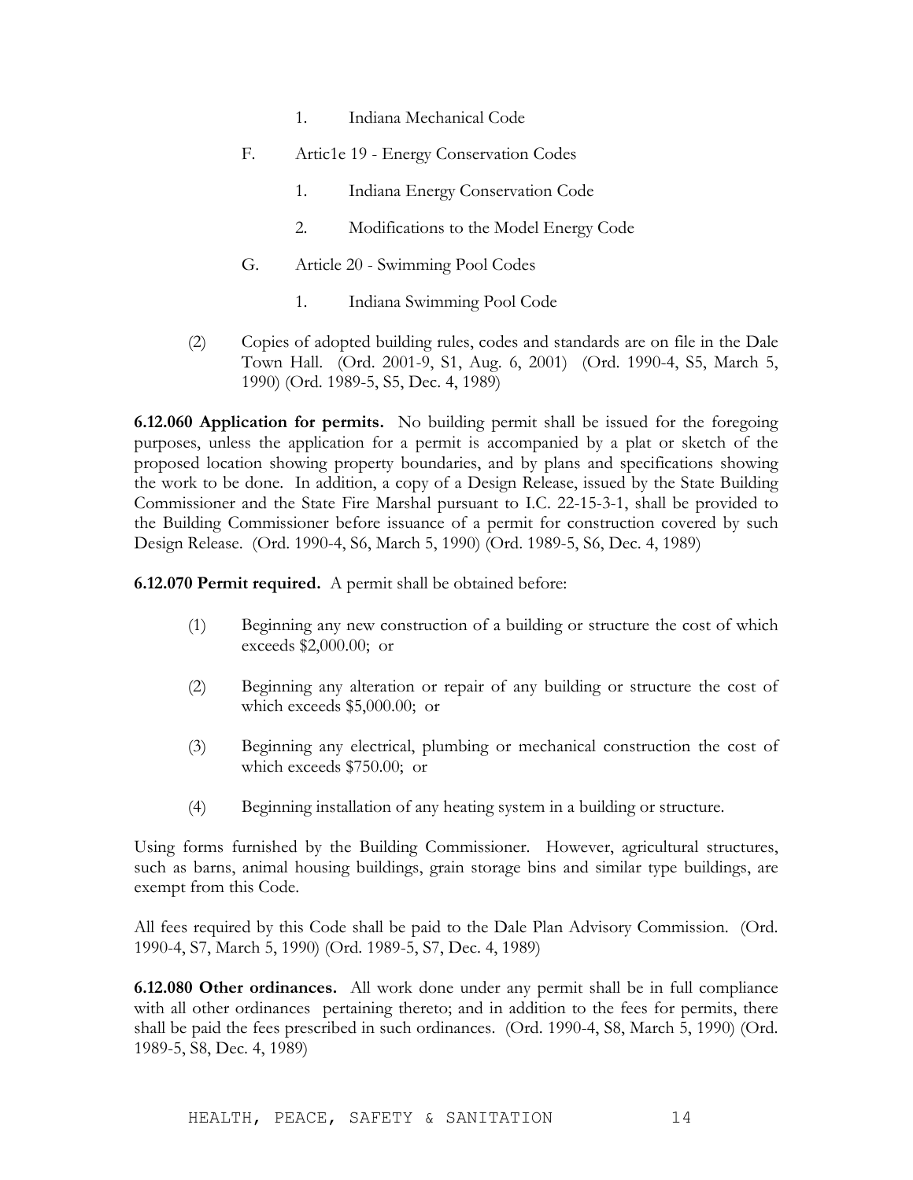- 1. Indiana Mechanical Code
- F. Artic1e 19 Energy Conservation Codes
	- 1. Indiana Energy Conservation Code
	- 2. Modifications to the Model Energy Code
- G. Article 20 Swimming Pool Codes
	- 1. Indiana Swimming Pool Code
- (2) Copies of adopted building rules, codes and standards are on file in the Dale Town Hall. (Ord. 2001-9, S1, Aug. 6, 2001) (Ord. 1990-4, S5, March 5, 1990) (Ord. 1989-5, S5, Dec. 4, 1989)

**6.12.060 Application for permits.** No building permit shall be issued for the foregoing purposes, unless the application for a permit is accompanied by a plat or sketch of the proposed location showing property boundaries, and by plans and specifications showing the work to be done. In addition, a copy of a Design Release, issued by the State Building Commissioner and the State Fire Marshal pursuant to I.C. 22-15-3-1, shall be provided to the Building Commissioner before issuance of a permit for construction covered by such Design Release. (Ord. 1990-4, S6, March 5, 1990) (Ord. 1989-5, S6, Dec. 4, 1989)

**6.12.070 Permit required.** A permit shall be obtained before:

- (1) Beginning any new construction of a building or structure the cost of which exceeds \$2,000.00; or
- (2) Beginning any alteration or repair of any building or structure the cost of which exceeds \$5,000.00; or
- (3) Beginning any electrical, plumbing or mechanical construction the cost of which exceeds \$750.00; or
- (4) Beginning installation of any heating system in a building or structure.

Using forms furnished by the Building Commissioner. However, agricultural structures, such as barns, animal housing buildings, grain storage bins and similar type buildings, are exempt from this Code.

All fees required by this Code shall be paid to the Dale Plan Advisory Commission. (Ord. 1990-4, S7, March 5, 1990) (Ord. 1989-5, S7, Dec. 4, 1989)

**6.12.080 Other ordinances.** All work done under any permit shall be in full compliance with all other ordinances pertaining thereto; and in addition to the fees for permits, there shall be paid the fees prescribed in such ordinances. (Ord. 1990-4, S8, March 5, 1990) (Ord. 1989-5, S8, Dec. 4, 1989)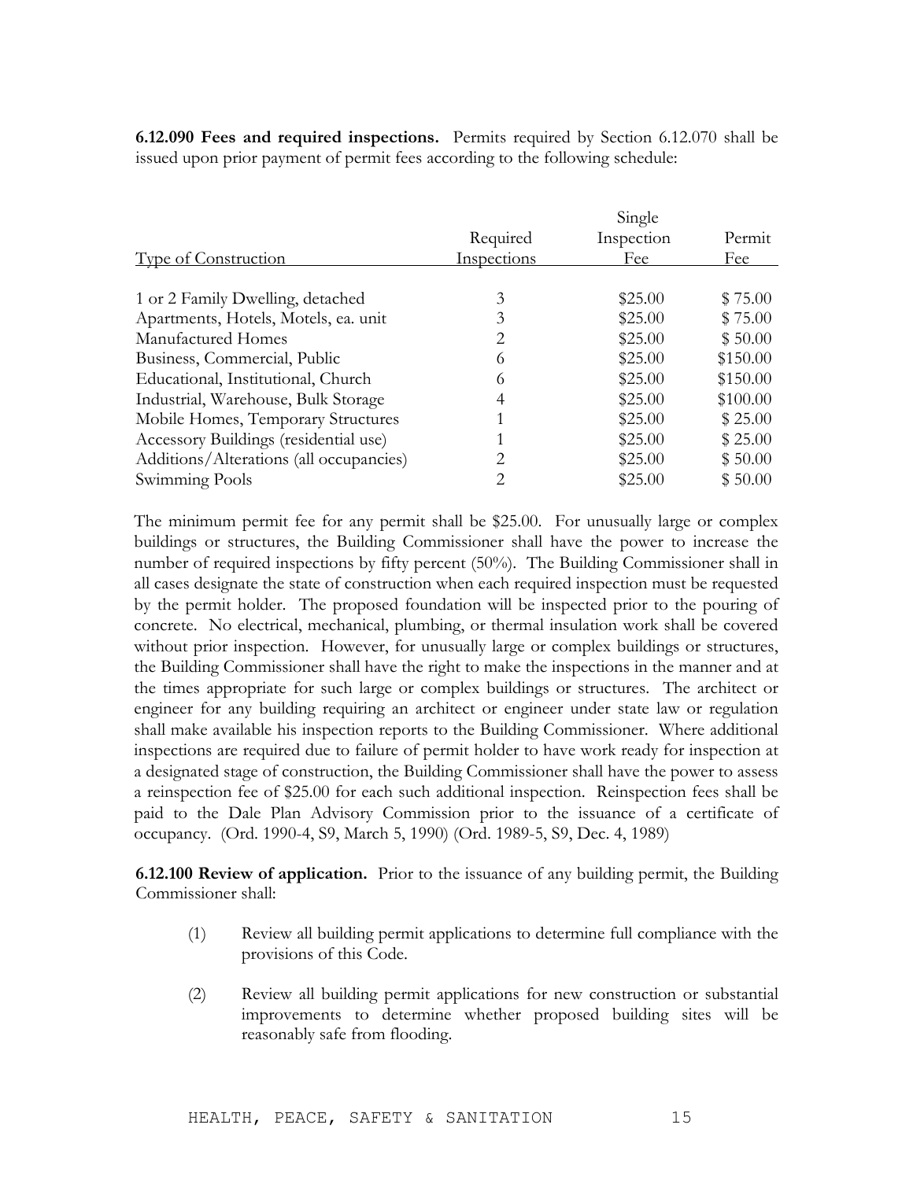**6.12.090 Fees and required inspections.** Permits required by Section 6.12.070 shall be issued upon prior payment of permit fees according to the following schedule:

Single

| Single      |            |          |
|-------------|------------|----------|
| Required    | Inspection | Permit   |
| Inspections | Fee        | Fee      |
|             |            |          |
| 3           | \$25.00    | \$75.00  |
| 3           | \$25.00    | \$75.00  |
| 2           | \$25.00    | \$50.00  |
| 6           | \$25.00    | \$150.00 |
| 6           | \$25.00    | \$150.00 |
| 4           | \$25.00    | \$100.00 |
|             | \$25.00    | \$25.00  |
|             | \$25.00    | \$25.00  |
| 2           | \$25.00    | \$50.00  |
| 2           | \$25.00    | \$50.00  |
|             |            |          |

The minimum permit fee for any permit shall be \$25.00. For unusually large or complex buildings or structures, the Building Commissioner shall have the power to increase the number of required inspections by fifty percent (50%). The Building Commissioner shall in all cases designate the state of construction when each required inspection must be requested by the permit holder. The proposed foundation will be inspected prior to the pouring of concrete. No electrical, mechanical, plumbing, or thermal insulation work shall be covered without prior inspection. However, for unusually large or complex buildings or structures, the Building Commissioner shall have the right to make the inspections in the manner and at the times appropriate for such large or complex buildings or structures. The architect or engineer for any building requiring an architect or engineer under state law or regulation shall make available his inspection reports to the Building Commissioner. Where additional inspections are required due to failure of permit holder to have work ready for inspection at a designated stage of construction, the Building Commissioner shall have the power to assess a reinspection fee of \$25.00 for each such additional inspection. Reinspection fees shall be paid to the Dale Plan Advisory Commission prior to the issuance of a certificate of occupancy. (Ord. 1990-4, S9, March 5, 1990) (Ord. 1989-5, S9, Dec. 4, 1989)

**6.12.100 Review of application.** Prior to the issuance of any building permit, the Building Commissioner shall:

- (1) Review all building permit applications to determine full compliance with the provisions of this Code.
- (2) Review all building permit applications for new construction or substantial improvements to determine whether proposed building sites will be reasonably safe from flooding.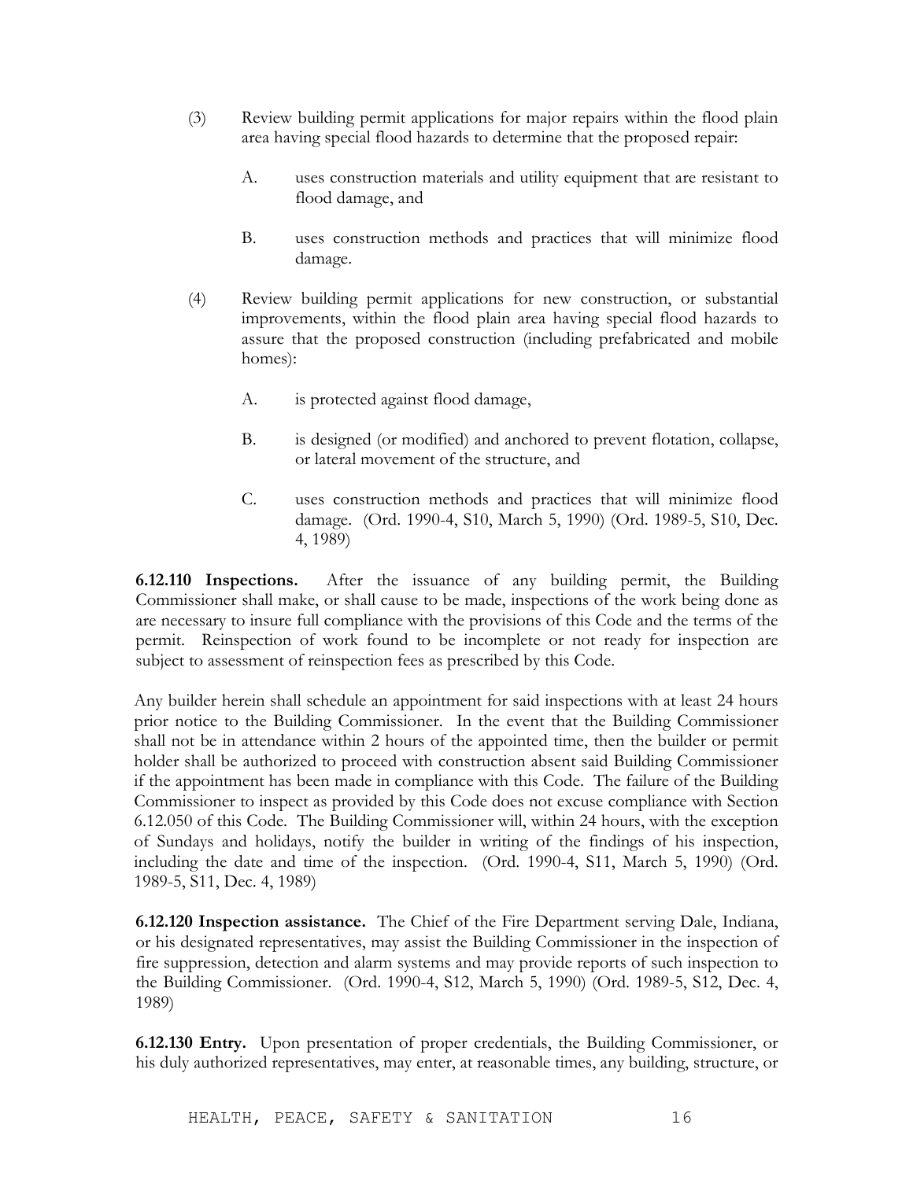- (3) Review building permit applications for major repairs within the flood plain area having special flood hazards to determine that the proposed repair:
	- A. uses construction materials and utility equipment that are resistant to flood damage, and
	- B. uses construction methods and practices that will minimize flood damage.
- (4) Review building permit applications for new construction, or substantial improvements, within the flood plain area having special flood hazards to assure that the proposed construction (including prefabricated and mobile homes):
	- A. is protected against flood damage,
	- B. is designed (or modified) and anchored to prevent flotation, collapse, or lateral movement of the structure, and
	- C. uses construction methods and practices that will minimize flood damage. (Ord. 1990-4, S10, March 5, 1990) (Ord. 1989-5, S10, Dec. 4, 1989)

**6.12.110 Inspections.** After the issuance of any building permit, the Building Commissioner shall make, or shall cause to be made, inspections of the work being done as are necessary to insure full compliance with the provisions of this Code and the terms of the permit. Reinspection of work found to be incomplete or not ready for inspection are subject to assessment of reinspection fees as prescribed by this Code.

Any builder herein shall schedule an appointment for said inspections with at least 24 hours prior notice to the Building Commissioner. In the event that the Building Commissioner shall not be in attendance within 2 hours of the appointed time, then the builder or permit holder shall be authorized to proceed with construction absent said Building Commissioner if the appointment has been made in compliance with this Code. The failure of the Building Commissioner to inspect as provided by this Code does not excuse compliance with Section 6.12.050 of this Code. The Building Commissioner will, within 24 hours, with the exception of Sundays and holidays, notify the builder in writing of the findings of his inspection, including the date and time of the inspection. (Ord. 1990-4, S11, March 5, 1990) (Ord. 1989-5, S11, Dec. 4, 1989)

**6.12.120 Inspection assistance.** The Chief of the Fire Department serving Dale, Indiana, or his designated representatives, may assist the Building Commissioner in the inspection of fire suppression, detection and alarm systems and may provide reports of such inspection to the Building Commissioner. (Ord. 1990-4, S12, March 5, 1990) (Ord. 1989-5, S12, Dec. 4, 1989)

**6.12.130 Entry.** Upon presentation of proper credentials, the Building Commissioner, or his duly authorized representatives, may enter, at reasonable times, any building, structure, or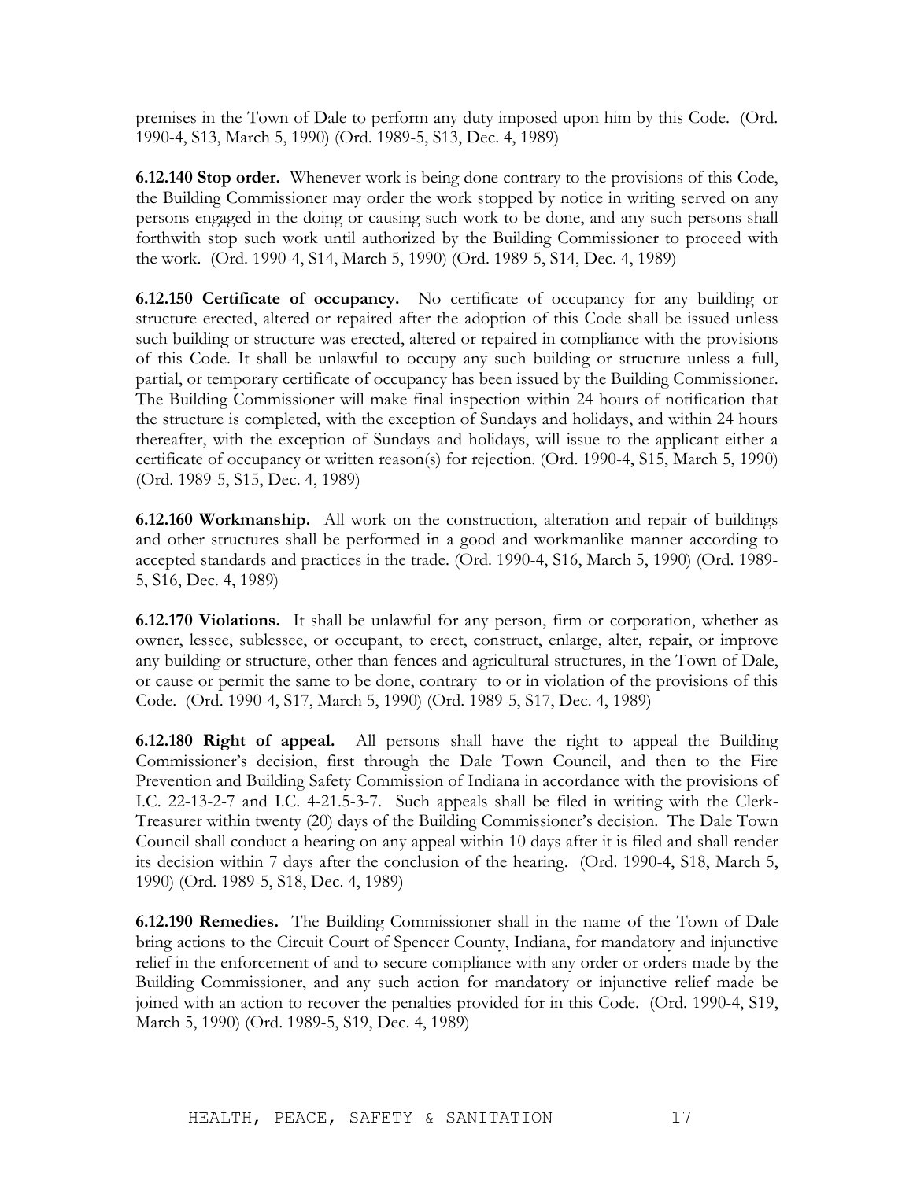premises in the Town of Dale to perform any duty imposed upon him by this Code. (Ord. 1990-4, S13, March 5, 1990) (Ord. 1989-5, S13, Dec. 4, 1989)

**6.12.140 Stop order.** Whenever work is being done contrary to the provisions of this Code, the Building Commissioner may order the work stopped by notice in writing served on any persons engaged in the doing or causing such work to be done, and any such persons shall forthwith stop such work until authorized by the Building Commissioner to proceed with the work. (Ord. 1990-4, S14, March 5, 1990) (Ord. 1989-5, S14, Dec. 4, 1989)

**6.12.150 Certificate of occupancy.** No certificate of occupancy for any building or structure erected, altered or repaired after the adoption of this Code shall be issued unless such building or structure was erected, altered or repaired in compliance with the provisions of this Code. It shall be unlawful to occupy any such building or structure unless a full, partial, or temporary certificate of occupancy has been issued by the Building Commissioner. The Building Commissioner will make final inspection within 24 hours of notification that the structure is completed, with the exception of Sundays and holidays, and within 24 hours thereafter, with the exception of Sundays and holidays, will issue to the applicant either a certificate of occupancy or written reason(s) for rejection. (Ord. 1990-4, S15, March 5, 1990) (Ord. 1989-5, S15, Dec. 4, 1989)

**6.12.160 Workmanship.** All work on the construction, alteration and repair of buildings and other structures shall be performed in a good and workmanlike manner according to accepted standards and practices in the trade. (Ord. 1990-4, S16, March 5, 1990) (Ord. 1989- 5, S16, Dec. 4, 1989)

**6.12.170 Violations.** It shall be unlawful for any person, firm or corporation, whether as owner, lessee, sublessee, or occupant, to erect, construct, enlarge, alter, repair, or improve any building or structure, other than fences and agricultural structures, in the Town of Dale, or cause or permit the same to be done, contrary to or in violation of the provisions of this Code. (Ord. 1990-4, S17, March 5, 1990) (Ord. 1989-5, S17, Dec. 4, 1989)

**6.12.180 Right of appeal.** All persons shall have the right to appeal the Building Commissioner's decision, first through the Dale Town Council, and then to the Fire Prevention and Building Safety Commission of Indiana in accordance with the provisions of I.C. 22-13-2-7 and I.C. 4-21.5-3-7. Such appeals shall be filed in writing with the Clerk-Treasurer within twenty (20) days of the Building Commissioner's decision. The Dale Town Council shall conduct a hearing on any appeal within 10 days after it is filed and shall render its decision within 7 days after the conclusion of the hearing. (Ord. 1990-4, S18, March 5, 1990) (Ord. 1989-5, S18, Dec. 4, 1989)

**6.12.190 Remedies.** The Building Commissioner shall in the name of the Town of Dale bring actions to the Circuit Court of Spencer County, Indiana, for mandatory and injunctive relief in the enforcement of and to secure compliance with any order or orders made by the Building Commissioner, and any such action for mandatory or injunctive relief made be joined with an action to recover the penalties provided for in this Code. (Ord. 1990-4, S19, March 5, 1990) (Ord. 1989-5, S19, Dec. 4, 1989)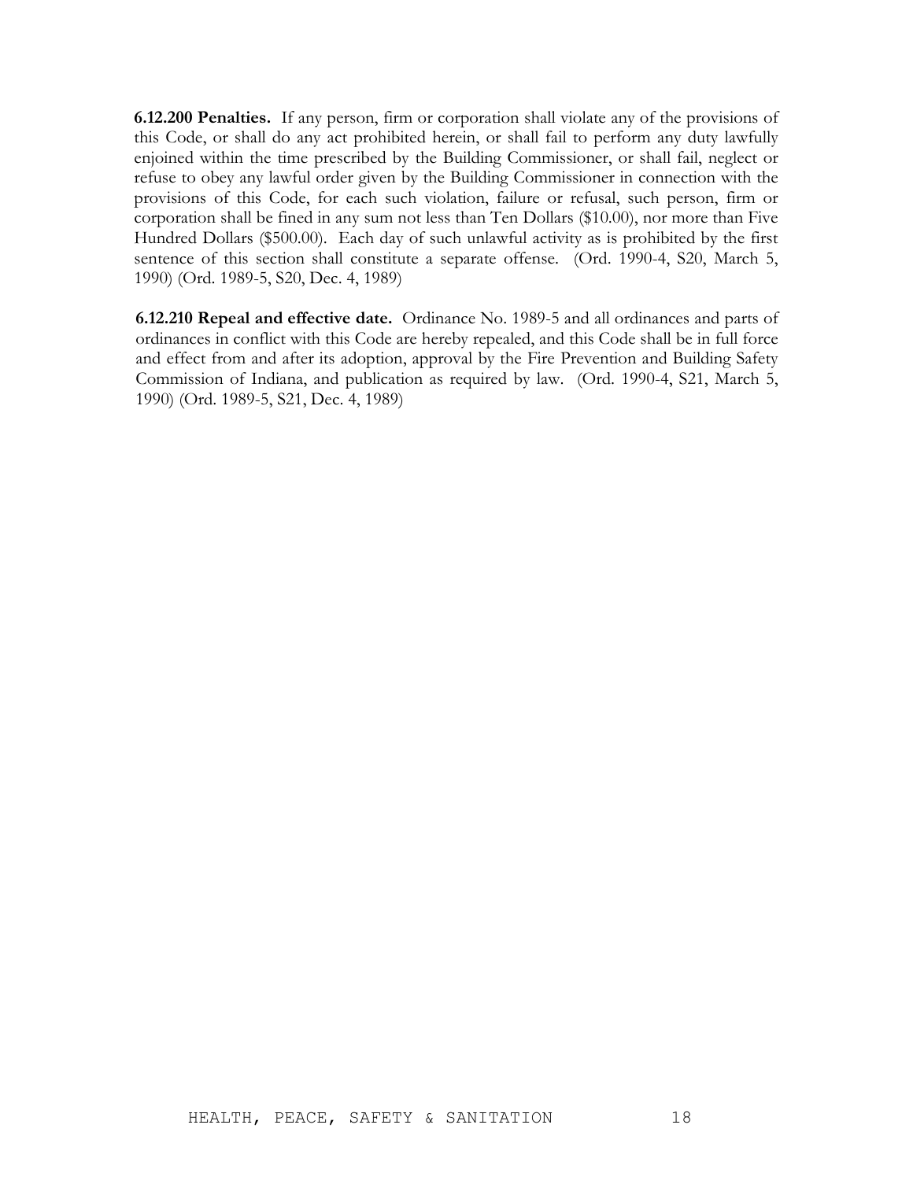**6.12.200 Penalties.** If any person, firm or corporation shall violate any of the provisions of this Code, or shall do any act prohibited herein, or shall fail to perform any duty lawfully enjoined within the time prescribed by the Building Commissioner, or shall fail, neglect or refuse to obey any lawful order given by the Building Commissioner in connection with the provisions of this Code, for each such violation, failure or refusal, such person, firm or corporation shall be fined in any sum not less than Ten Dollars (\$10.00), nor more than Five Hundred Dollars (\$500.00). Each day of such unlawful activity as is prohibited by the first sentence of this section shall constitute a separate offense. (Ord. 1990-4, S20, March 5, 1990) (Ord. 1989-5, S20, Dec. 4, 1989)

**6.12.210 Repeal and effective date.** Ordinance No. 1989-5 and all ordinances and parts of ordinances in conflict with this Code are hereby repealed, and this Code shall be in full force and effect from and after its adoption, approval by the Fire Prevention and Building Safety Commission of Indiana, and publication as required by law. (Ord. 1990-4, S21, March 5, 1990) (Ord. 1989-5, S21, Dec. 4, 1989)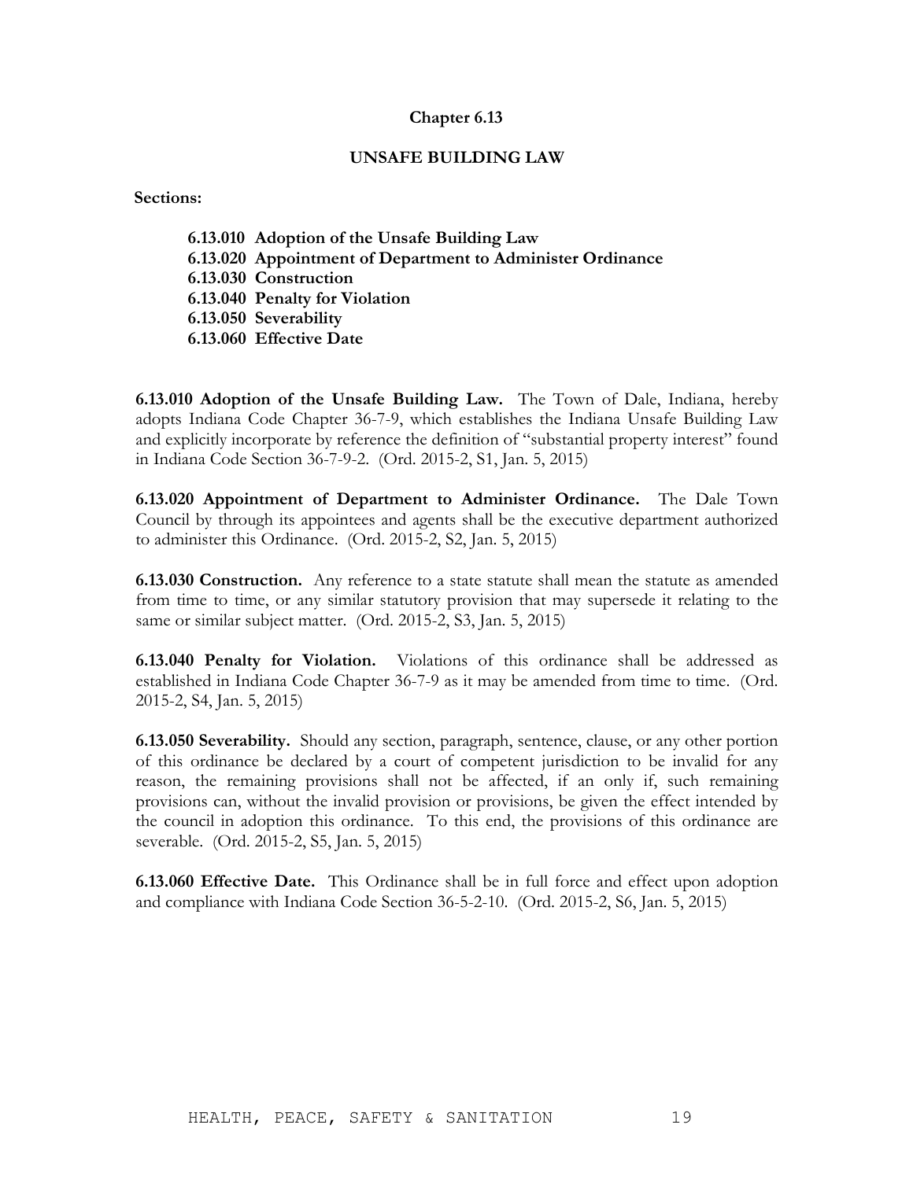### **UNSAFE BUILDING LAW**

**Sections:**

**6.13.010 Adoption of the Unsafe Building Law 6.13.020 Appointment of Department to Administer Ordinance 6.13.030 Construction 6.13.040 Penalty for Violation 6.13.050 Severability 6.13.060 Effective Date**

**6.13.010 Adoption of the Unsafe Building Law.** The Town of Dale, Indiana, hereby adopts Indiana Code Chapter 36-7-9, which establishes the Indiana Unsafe Building Law and explicitly incorporate by reference the definition of "substantial property interest" found in Indiana Code Section 36-7-9-2. (Ord. 2015-2, S1, Jan. 5, 2015)

**6.13.020 Appointment of Department to Administer Ordinance.** The Dale Town Council by through its appointees and agents shall be the executive department authorized to administer this Ordinance. (Ord. 2015-2, S2, Jan. 5, 2015)

**6.13.030 Construction.** Any reference to a state statute shall mean the statute as amended from time to time, or any similar statutory provision that may supersede it relating to the same or similar subject matter. (Ord. 2015-2, S3, Jan. 5, 2015)

**6.13.040 Penalty for Violation.** Violations of this ordinance shall be addressed as established in Indiana Code Chapter 36-7-9 as it may be amended from time to time. (Ord. 2015-2, S4, Jan. 5, 2015)

**6.13.050 Severability.** Should any section, paragraph, sentence, clause, or any other portion of this ordinance be declared by a court of competent jurisdiction to be invalid for any reason, the remaining provisions shall not be affected, if an only if, such remaining provisions can, without the invalid provision or provisions, be given the effect intended by the council in adoption this ordinance. To this end, the provisions of this ordinance are severable. (Ord. 2015-2, S5, Jan. 5, 2015)

**6.13.060 Effective Date.** This Ordinance shall be in full force and effect upon adoption and compliance with Indiana Code Section 36-5-2-10. (Ord. 2015-2, S6, Jan. 5, 2015)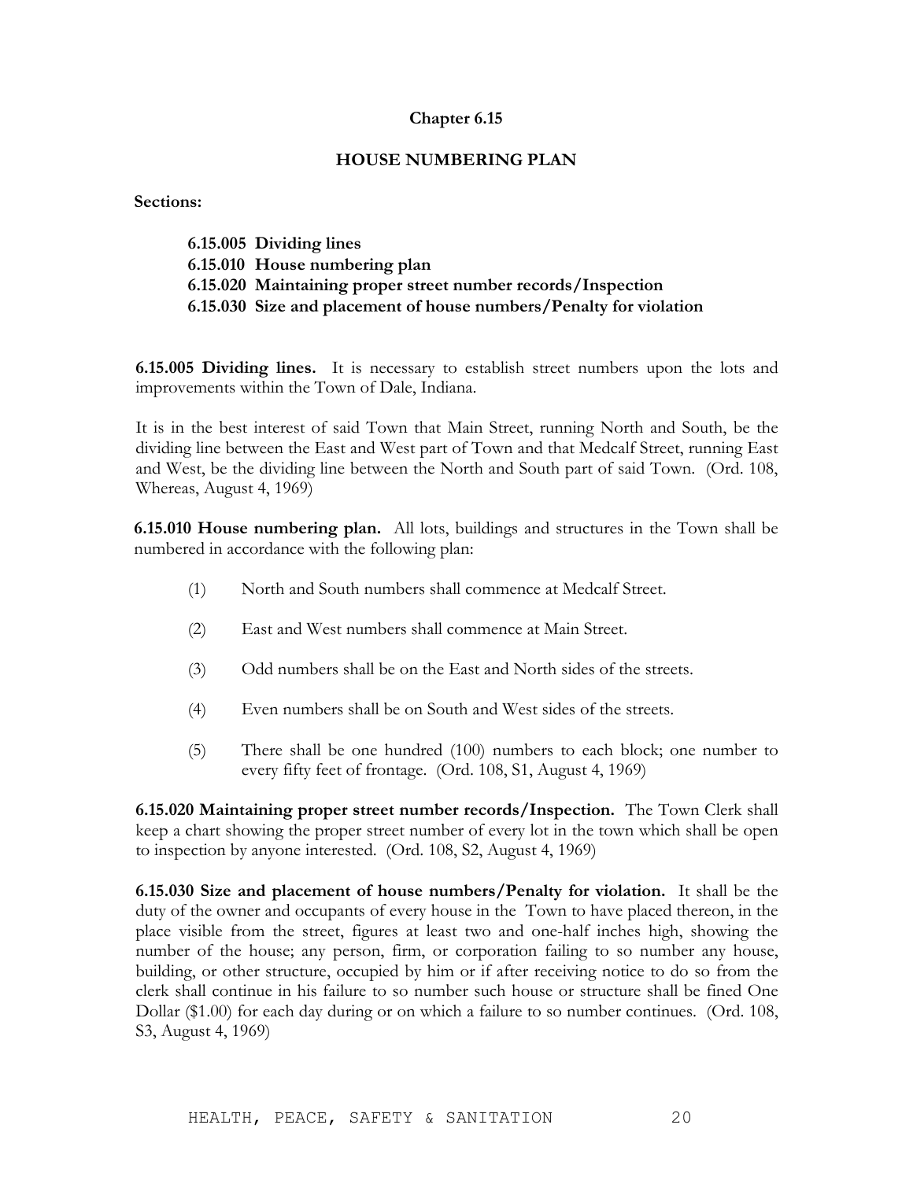# **HOUSE NUMBERING PLAN**

**Sections:**

| 6.15.005 Dividing lines                                            |
|--------------------------------------------------------------------|
| 6.15.010 House numbering plan                                      |
| 6.15.020 Maintaining proper street number records/Inspection       |
| 6.15.030 Size and placement of house numbers/Penalty for violation |

**6.15.005 Dividing lines.** It is necessary to establish street numbers upon the lots and improvements within the Town of Dale, Indiana.

It is in the best interest of said Town that Main Street, running North and South, be the dividing line between the East and West part of Town and that Medcalf Street, running East and West, be the dividing line between the North and South part of said Town. (Ord. 108, Whereas, August 4, 1969)

**6.15.010 House numbering plan.** All lots, buildings and structures in the Town shall be numbered in accordance with the following plan:

- (1) North and South numbers shall commence at Medcalf Street.
- (2) East and West numbers shall commence at Main Street.
- (3) Odd numbers shall be on the East and North sides of the streets.
- (4) Even numbers shall be on South and West sides of the streets.
- (5) There shall be one hundred (100) numbers to each block; one number to every fifty feet of frontage. (Ord. 108, S1, August 4, 1969)

**6.15.020 Maintaining proper street number records/Inspection.** The Town Clerk shall keep a chart showing the proper street number of every lot in the town which shall be open to inspection by anyone interested. (Ord. 108, S2, August 4, 1969)

**6.15.030 Size and placement of house numbers/Penalty for violation.** It shall be the duty of the owner and occupants of every house in the Town to have placed thereon, in the place visible from the street, figures at least two and one-half inches high, showing the number of the house; any person, firm, or corporation failing to so number any house, building, or other structure, occupied by him or if after receiving notice to do so from the clerk shall continue in his failure to so number such house or structure shall be fined One Dollar (\$1.00) for each day during or on which a failure to so number continues. (Ord. 108, S3, August 4, 1969)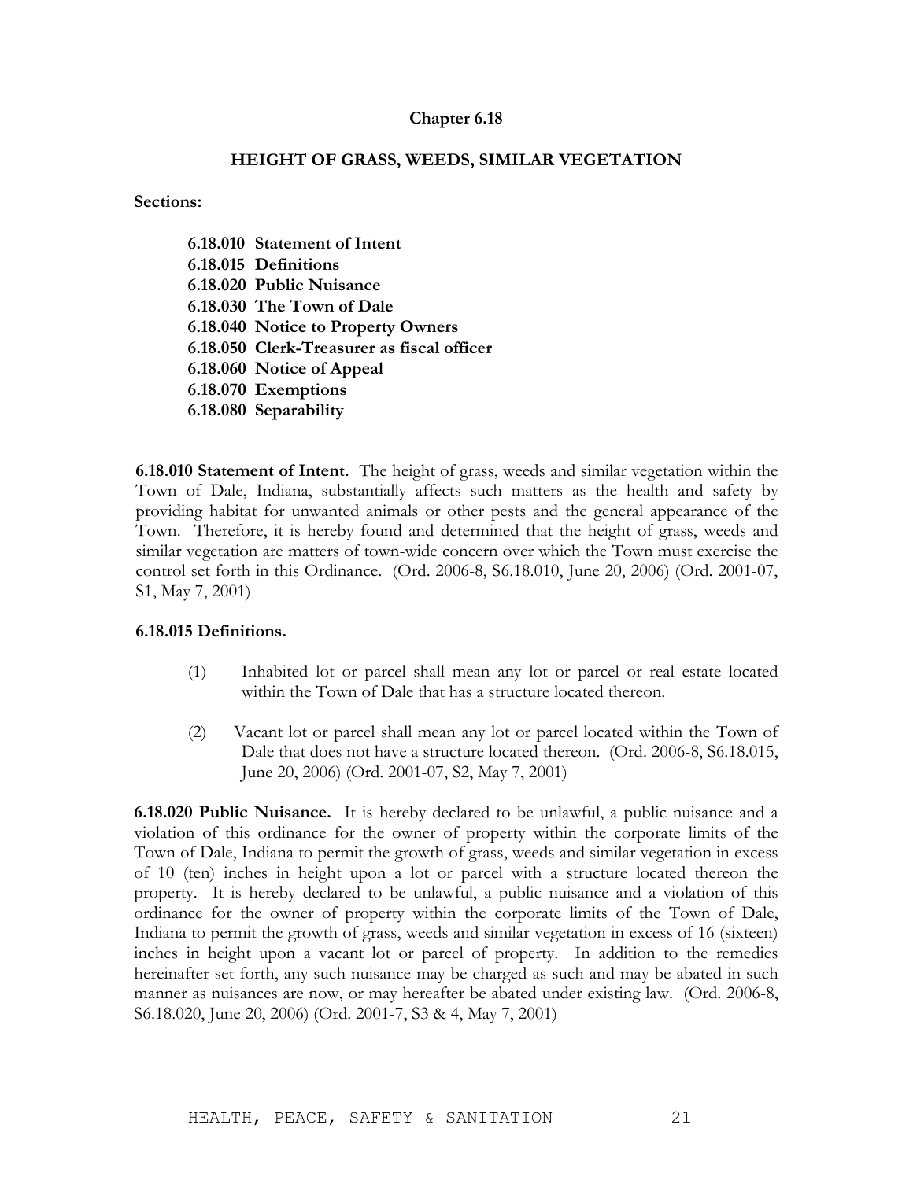# **HEIGHT OF GRASS, WEEDS, SIMILAR VEGETATION**

**Sections:**

**6.18.010 Statement of Intent 6.18.015 Definitions 6.18.020 Public Nuisance 6.18.030 The Town of Dale 6.18.040 Notice to Property Owners 6.18.050 Clerk-Treasurer as fiscal officer 6.18.060 Notice of Appeal 6.18.070 Exemptions 6.18.080 Separability**

**6.18.010 Statement of Intent.** The height of grass, weeds and similar vegetation within the Town of Dale, Indiana, substantially affects such matters as the health and safety by providing habitat for unwanted animals or other pests and the general appearance of the Town. Therefore, it is hereby found and determined that the height of grass, weeds and similar vegetation are matters of town-wide concern over which the Town must exercise the control set forth in this Ordinance. (Ord. 2006-8, S6.18.010, June 20, 2006) (Ord. 2001-07, S1, May 7, 2001)

# **6.18.015 Definitions.**

- (1) Inhabited lot or parcel shall mean any lot or parcel or real estate located within the Town of Dale that has a structure located thereon.
- (2) Vacant lot or parcel shall mean any lot or parcel located within the Town of Dale that does not have a structure located thereon. (Ord. 2006-8, S6.18.015, June 20, 2006) (Ord. 2001-07, S2, May 7, 2001)

**6.18.020 Public Nuisance.** It is hereby declared to be unlawful, a public nuisance and a violation of this ordinance for the owner of property within the corporate limits of the Town of Dale, Indiana to permit the growth of grass, weeds and similar vegetation in excess of 10 (ten) inches in height upon a lot or parcel with a structure located thereon the property. It is hereby declared to be unlawful, a public nuisance and a violation of this ordinance for the owner of property within the corporate limits of the Town of Dale, Indiana to permit the growth of grass, weeds and similar vegetation in excess of 16 (sixteen) inches in height upon a vacant lot or parcel of property. In addition to the remedies hereinafter set forth, any such nuisance may be charged as such and may be abated in such manner as nuisances are now, or may hereafter be abated under existing law. (Ord. 2006-8, S6.18.020, June 20, 2006) (Ord. 2001-7, S3 & 4, May 7, 2001)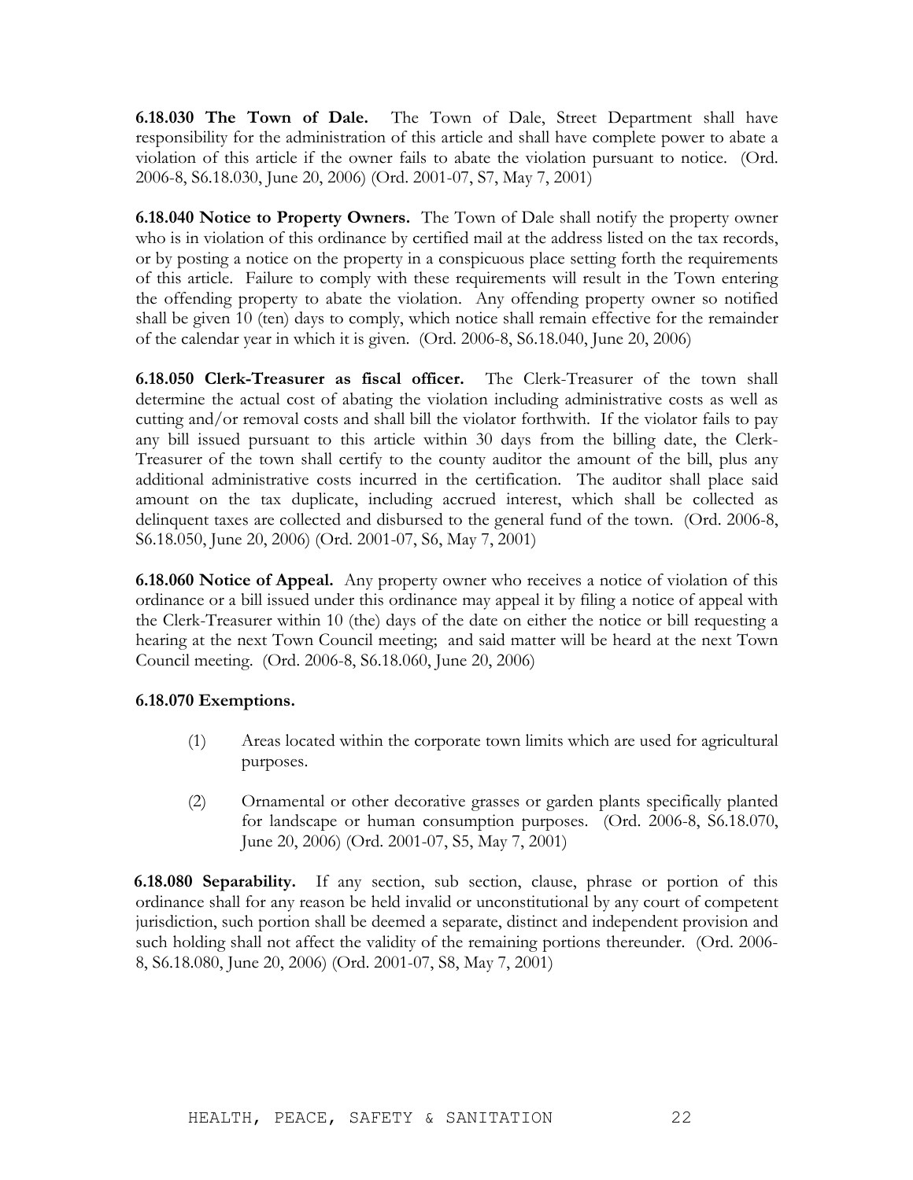**6.18.030 The Town of Dale.** The Town of Dale, Street Department shall have responsibility for the administration of this article and shall have complete power to abate a violation of this article if the owner fails to abate the violation pursuant to notice. (Ord. 2006-8, S6.18.030, June 20, 2006) (Ord. 2001-07, S7, May 7, 2001)

**6.18.040 Notice to Property Owners.** The Town of Dale shall notify the property owner who is in violation of this ordinance by certified mail at the address listed on the tax records, or by posting a notice on the property in a conspicuous place setting forth the requirements of this article. Failure to comply with these requirements will result in the Town entering the offending property to abate the violation. Any offending property owner so notified shall be given 10 (ten) days to comply, which notice shall remain effective for the remainder of the calendar year in which it is given. (Ord. 2006-8, S6.18.040, June 20, 2006)

**6.18.050 Clerk-Treasurer as fiscal officer.** The Clerk-Treasurer of the town shall determine the actual cost of abating the violation including administrative costs as well as cutting and/or removal costs and shall bill the violator forthwith. If the violator fails to pay any bill issued pursuant to this article within 30 days from the billing date, the Clerk-Treasurer of the town shall certify to the county auditor the amount of the bill, plus any additional administrative costs incurred in the certification. The auditor shall place said amount on the tax duplicate, including accrued interest, which shall be collected as delinquent taxes are collected and disbursed to the general fund of the town. (Ord. 2006-8, S6.18.050, June 20, 2006) (Ord. 2001-07, S6, May 7, 2001)

**6.18.060 Notice of Appeal.** Any property owner who receives a notice of violation of this ordinance or a bill issued under this ordinance may appeal it by filing a notice of appeal with the Clerk-Treasurer within 10 (the) days of the date on either the notice or bill requesting a hearing at the next Town Council meeting; and said matter will be heard at the next Town Council meeting. (Ord. 2006-8, S6.18.060, June 20, 2006)

# **6.18.070 Exemptions.**

- (1) Areas located within the corporate town limits which are used for agricultural purposes.
- (2) Ornamental or other decorative grasses or garden plants specifically planted for landscape or human consumption purposes. (Ord. 2006-8, S6.18.070, June 20, 2006) (Ord. 2001-07, S5, May 7, 2001)

**6.18.080 Separability.** If any section, sub section, clause, phrase or portion of this ordinance shall for any reason be held invalid or unconstitutional by any court of competent jurisdiction, such portion shall be deemed a separate, distinct and independent provision and such holding shall not affect the validity of the remaining portions thereunder. (Ord. 2006- 8, S6.18.080, June 20, 2006) (Ord. 2001-07, S8, May 7, 2001)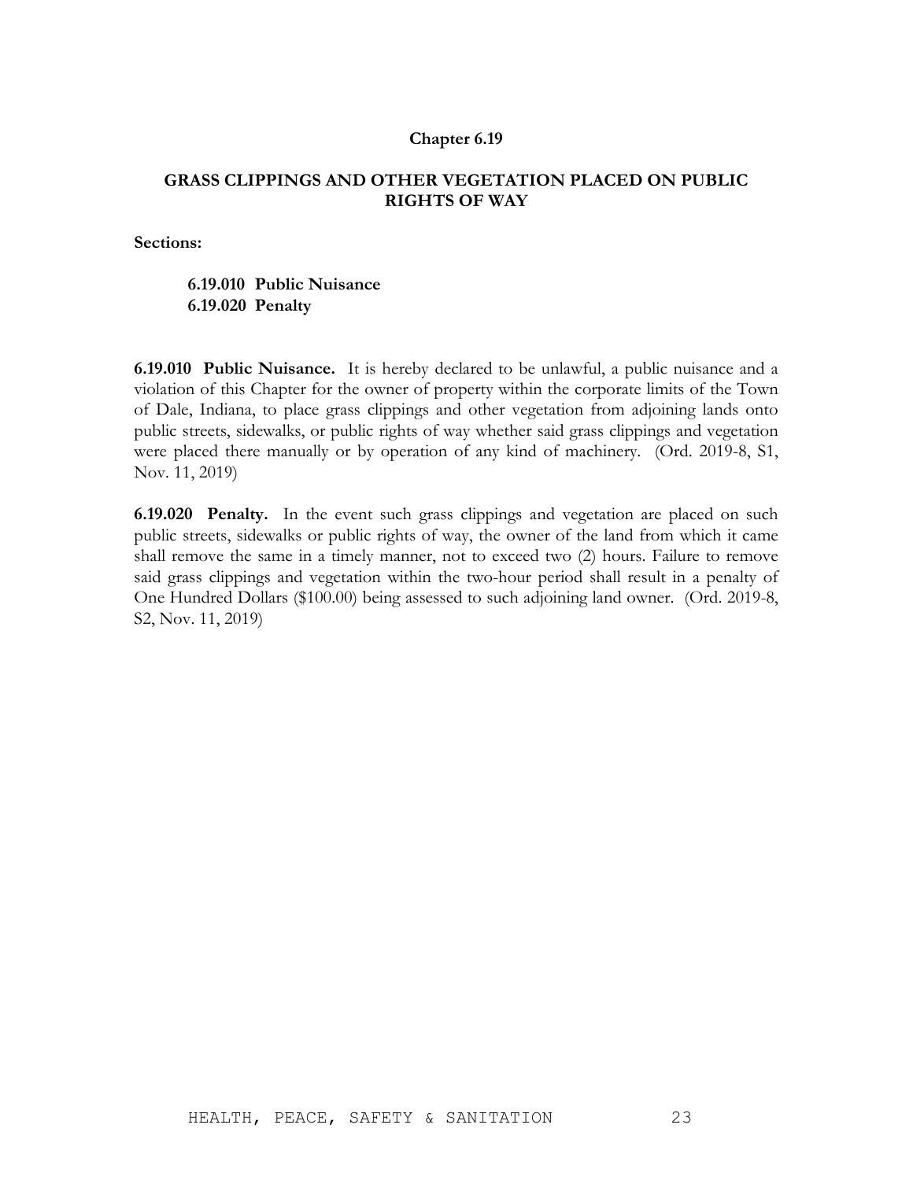# **GRASS CLIPPINGS AND OTHER VEGETATION PLACED ON PUBLIC RIGHTS OF WAY**

**Sections:**

# **6.19.010 Public Nuisance 6.19.020 Penalty**

**6.19.010 Public Nuisance.** It is hereby declared to be unlawful, a public nuisance and a violation of this Chapter for the owner of property within the corporate limits of the Town of Dale, Indiana, to place grass clippings and other vegetation from adjoining lands onto public streets, sidewalks, or public rights of way whether said grass clippings and vegetation were placed there manually or by operation of any kind of machinery. (Ord. 2019-8, S1, Nov. 11, 2019)

**6.19.020 Penalty.** In the event such grass clippings and vegetation are placed on such public streets, sidewalks or public rights of way, the owner of the land from which it came shall remove the same in a timely manner, not to exceed two (2) hours. Failure to remove said grass clippings and vegetation within the two-hour period shall result in a penalty of One Hundred Dollars (\$100.00) being assessed to such adjoining land owner. (Ord. 2019-8, S2, Nov. 11, 2019)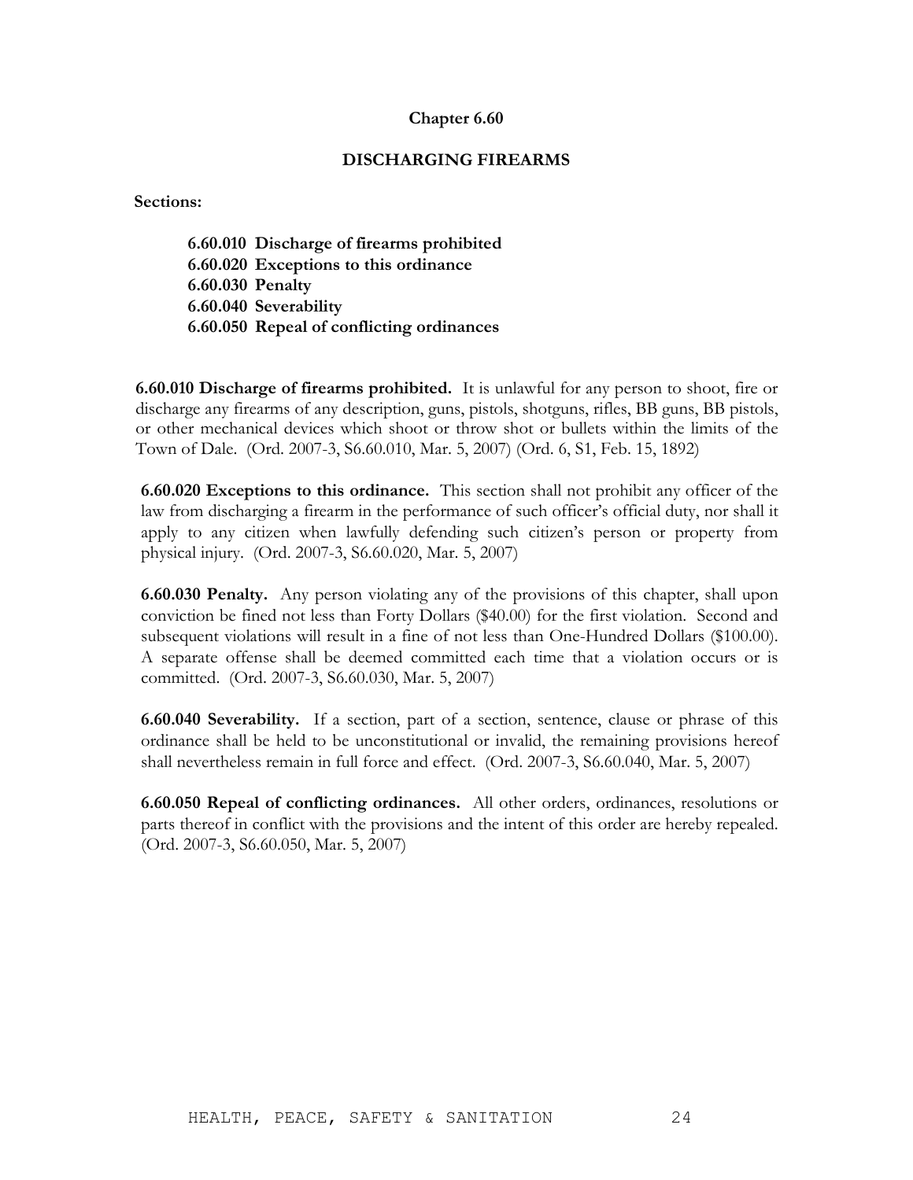# **DISCHARGING FIREARMS**

**Sections:**

**6.60.010 Discharge of firearms prohibited 6.60.020 Exceptions to this ordinance 6.60.030 Penalty 6.60.040 Severability 6.60.050 Repeal of conflicting ordinances**

**6.60.010 Discharge of firearms prohibited.** It is unlawful for any person to shoot, fire or discharge any firearms of any description, guns, pistols, shotguns, rifles, BB guns, BB pistols, or other mechanical devices which shoot or throw shot or bullets within the limits of the Town of Dale. (Ord. 2007-3, S6.60.010, Mar. 5, 2007) (Ord. 6, S1, Feb. 15, 1892)

**6.60.020 Exceptions to this ordinance.** This section shall not prohibit any officer of the law from discharging a firearm in the performance of such officer's official duty, nor shall it apply to any citizen when lawfully defending such citizen's person or property from physical injury. (Ord. 2007-3, S6.60.020, Mar. 5, 2007)

**6.60.030 Penalty.** Any person violating any of the provisions of this chapter, shall upon conviction be fined not less than Forty Dollars (\$40.00) for the first violation. Second and subsequent violations will result in a fine of not less than One-Hundred Dollars (\$100.00). A separate offense shall be deemed committed each time that a violation occurs or is committed. (Ord. 2007-3, S6.60.030, Mar. 5, 2007)

**6.60.040 Severability.** If a section, part of a section, sentence, clause or phrase of this ordinance shall be held to be unconstitutional or invalid, the remaining provisions hereof shall nevertheless remain in full force and effect. (Ord. 2007-3, S6.60.040, Mar. 5, 2007)

**6.60.050 Repeal of conflicting ordinances.** All other orders, ordinances, resolutions or parts thereof in conflict with the provisions and the intent of this order are hereby repealed. (Ord. 2007-3, S6.60.050, Mar. 5, 2007)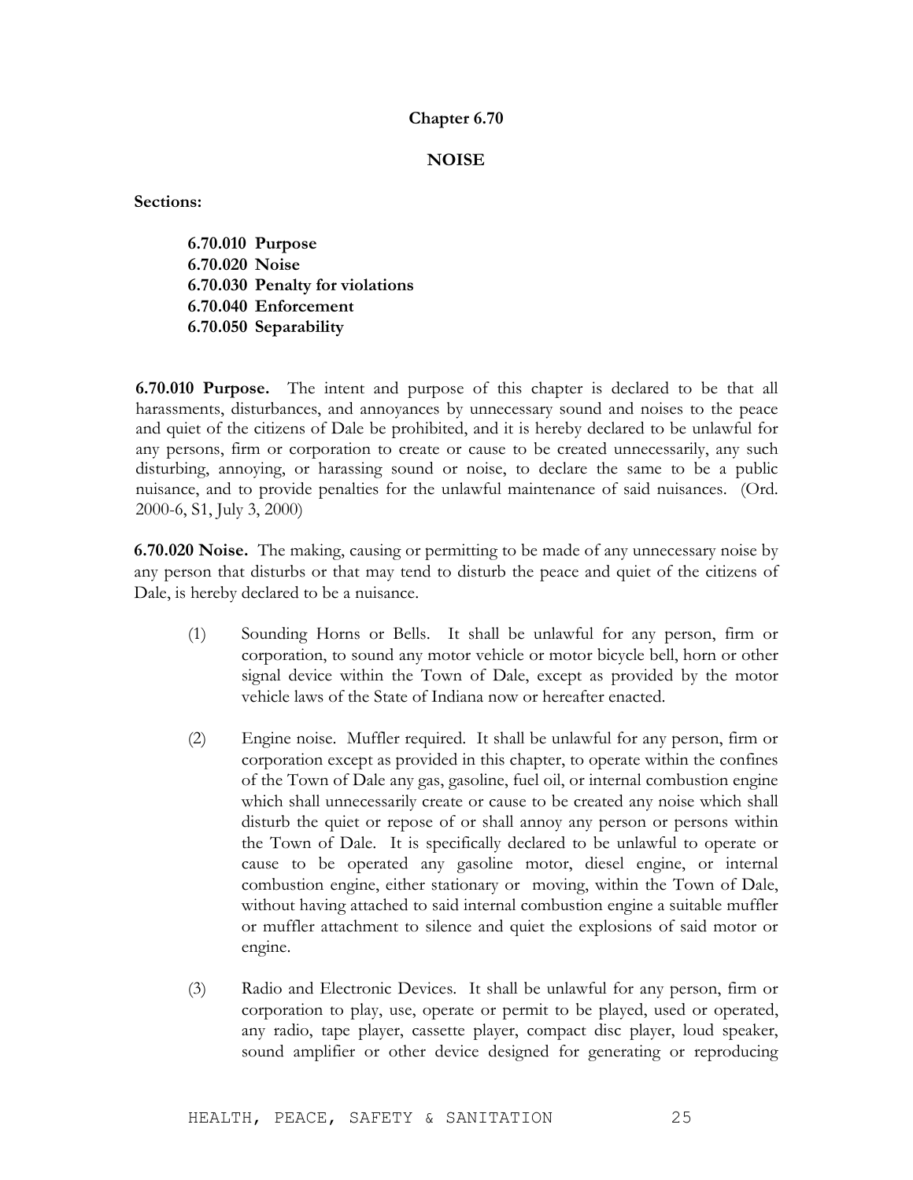### **NOISE**

**Sections:**

**6.70.010 Purpose 6.70.020 Noise 6.70.030 Penalty for violations 6.70.040 Enforcement 6.70.050 Separability**

**6.70.010 Purpose.** The intent and purpose of this chapter is declared to be that all harassments, disturbances, and annoyances by unnecessary sound and noises to the peace and quiet of the citizens of Dale be prohibited, and it is hereby declared to be unlawful for any persons, firm or corporation to create or cause to be created unnecessarily, any such disturbing, annoying, or harassing sound or noise, to declare the same to be a public nuisance, and to provide penalties for the unlawful maintenance of said nuisances. (Ord. 2000-6, S1, July 3, 2000)

**6.70.020 Noise.** The making, causing or permitting to be made of any unnecessary noise by any person that disturbs or that may tend to disturb the peace and quiet of the citizens of Dale, is hereby declared to be a nuisance.

- (1) Sounding Horns or Bells. It shall be unlawful for any person, firm or corporation, to sound any motor vehicle or motor bicycle bell, horn or other signal device within the Town of Dale, except as provided by the motor vehicle laws of the State of Indiana now or hereafter enacted.
- (2) Engine noise. Muffler required. It shall be unlawful for any person, firm or corporation except as provided in this chapter, to operate within the confines of the Town of Dale any gas, gasoline, fuel oil, or internal combustion engine which shall unnecessarily create or cause to be created any noise which shall disturb the quiet or repose of or shall annoy any person or persons within the Town of Dale. It is specifically declared to be unlawful to operate or cause to be operated any gasoline motor, diesel engine, or internal combustion engine, either stationary or moving, within the Town of Dale, without having attached to said internal combustion engine a suitable muffler or muffler attachment to silence and quiet the explosions of said motor or engine.
- (3) Radio and Electronic Devices. It shall be unlawful for any person, firm or corporation to play, use, operate or permit to be played, used or operated, any radio, tape player, cassette player, compact disc player, loud speaker, sound amplifier or other device designed for generating or reproducing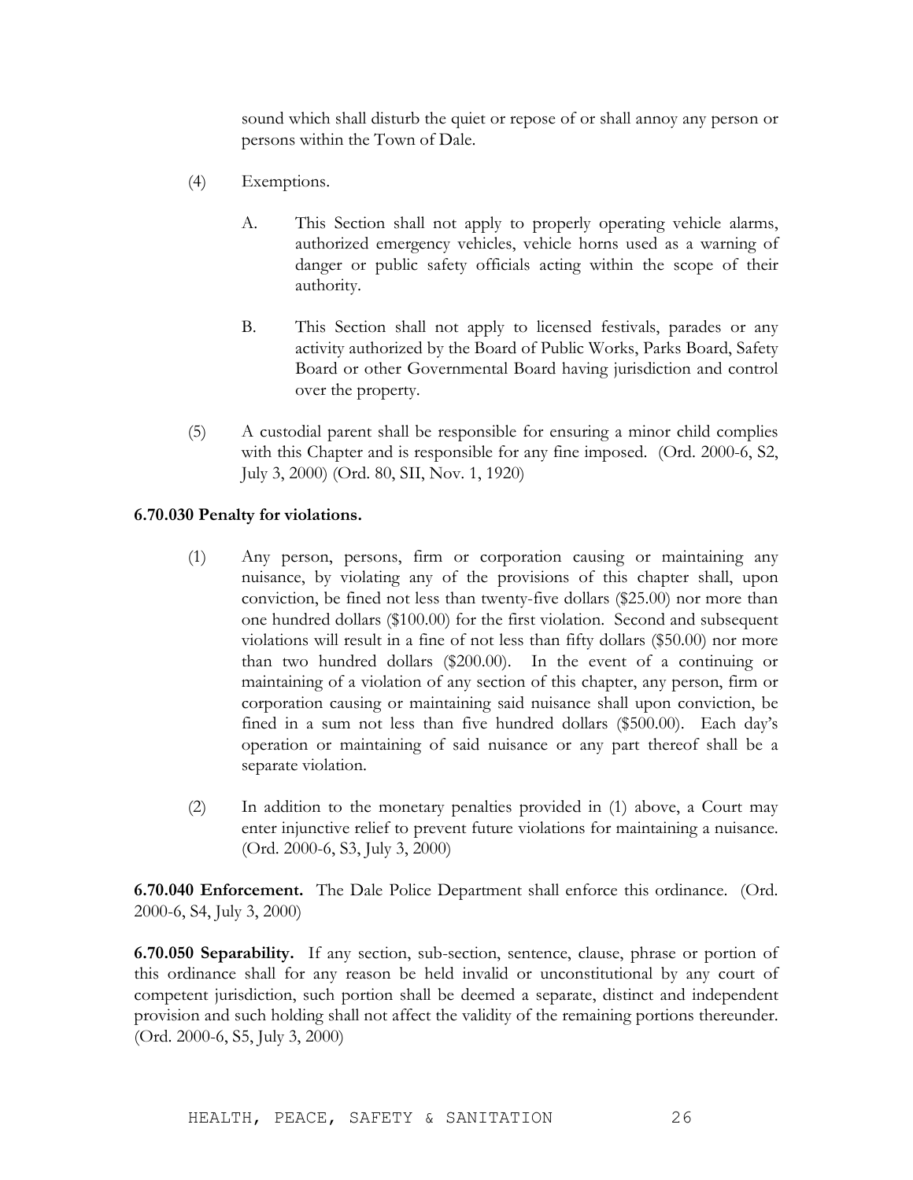sound which shall disturb the quiet or repose of or shall annoy any person or persons within the Town of Dale.

- (4) Exemptions.
	- A. This Section shall not apply to properly operating vehicle alarms, authorized emergency vehicles, vehicle horns used as a warning of danger or public safety officials acting within the scope of their authority.
	- B. This Section shall not apply to licensed festivals, parades or any activity authorized by the Board of Public Works, Parks Board, Safety Board or other Governmental Board having jurisdiction and control over the property.
- (5) A custodial parent shall be responsible for ensuring a minor child complies with this Chapter and is responsible for any fine imposed. (Ord. 2000-6, S2, July 3, 2000) (Ord. 80, SII, Nov. 1, 1920)

# **6.70.030 Penalty for violations.**

- (1) Any person, persons, firm or corporation causing or maintaining any nuisance, by violating any of the provisions of this chapter shall, upon conviction, be fined not less than twenty-five dollars (\$25.00) nor more than one hundred dollars (\$100.00) for the first violation. Second and subsequent violations will result in a fine of not less than fifty dollars (\$50.00) nor more than two hundred dollars (\$200.00). In the event of a continuing or maintaining of a violation of any section of this chapter, any person, firm or corporation causing or maintaining said nuisance shall upon conviction, be fined in a sum not less than five hundred dollars (\$500.00). Each day's operation or maintaining of said nuisance or any part thereof shall be a separate violation.
- (2) In addition to the monetary penalties provided in (1) above, a Court may enter injunctive relief to prevent future violations for maintaining a nuisance. (Ord. 2000-6, S3, July 3, 2000)

**6.70.040 Enforcement.** The Dale Police Department shall enforce this ordinance. (Ord. 2000-6, S4, July 3, 2000)

**6.70.050 Separability.** If any section, sub-section, sentence, clause, phrase or portion of this ordinance shall for any reason be held invalid or unconstitutional by any court of competent jurisdiction, such portion shall be deemed a separate, distinct and independent provision and such holding shall not affect the validity of the remaining portions thereunder. (Ord. 2000-6, S5, July 3, 2000)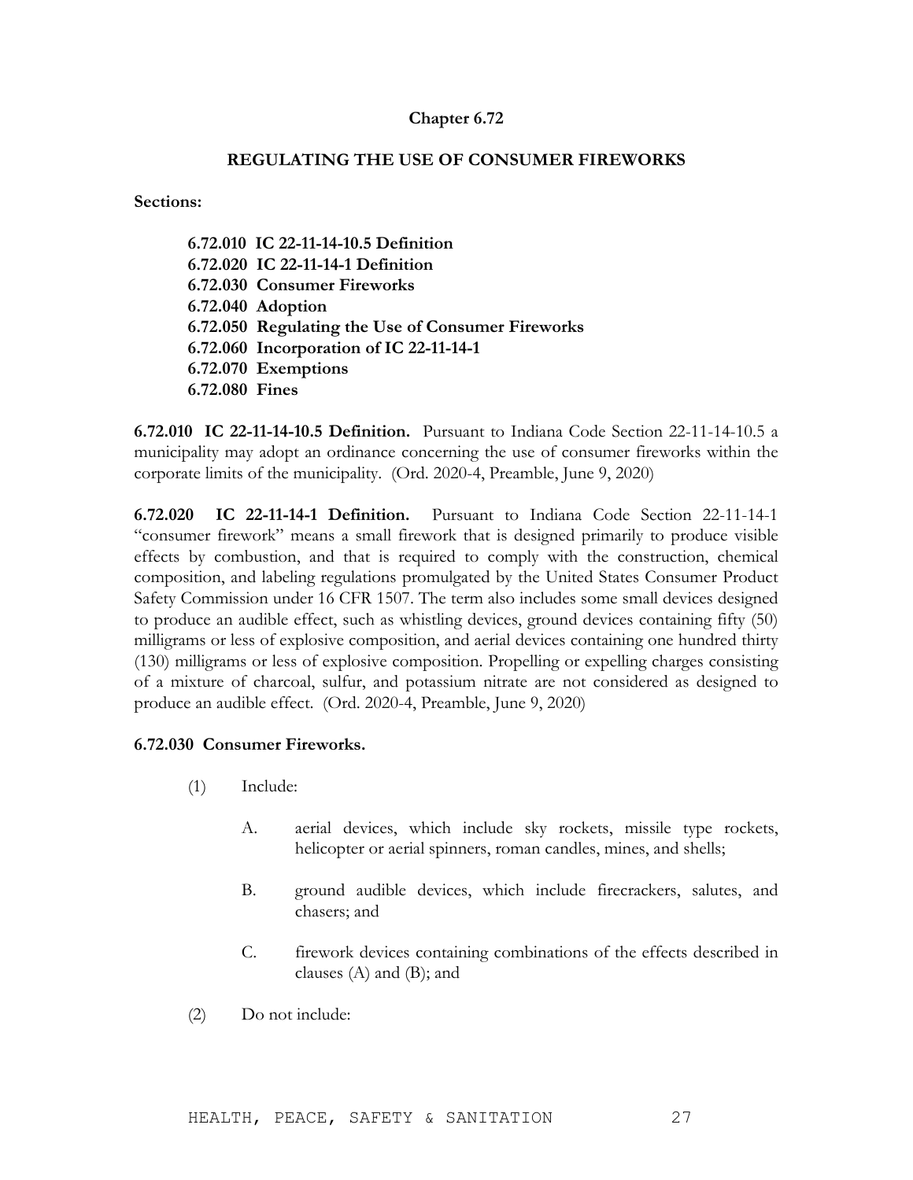# **REGULATING THE USE OF CONSUMER FIREWORKS**

**Sections:**

**6.72.010 IC 22-11-14-10.5 Definition 6.72.020 IC 22-11-14-1 Definition 6.72.030 Consumer Fireworks 6.72.040 Adoption 6.72.050 Regulating the Use of Consumer Fireworks 6.72.060 Incorporation of IC 22-11-14-1 6.72.070 Exemptions 6.72.080 Fines**

**6.72.010 IC 22-11-14-10.5 Definition.** Pursuant to Indiana Code Section 22-11-14-10.5 a municipality may adopt an ordinance concerning the use of consumer fireworks within the corporate limits of the municipality. (Ord. 2020-4, Preamble, June 9, 2020)

**6.72.020 IC 22-11-14-1 Definition.** Pursuant to Indiana Code Section 22-11-14-1 "consumer firework" means a small firework that is designed primarily to produce visible effects by combustion, and that is required to comply with the construction, chemical composition, and labeling regulations promulgated by the United States Consumer Product Safety Commission under 16 CFR 1507. The term also includes some small devices designed to produce an audible effect, such as whistling devices, ground devices containing fifty (50) milligrams or less of explosive composition, and aerial devices containing one hundred thirty (130) milligrams or less of explosive composition. Propelling or expelling charges consisting of a mixture of charcoal, sulfur, and potassium nitrate are not considered as designed to produce an audible effect. (Ord. 2020-4, Preamble, June 9, 2020)

# **6.72.030 Consumer Fireworks.**

- (1) Include:
	- A. aerial devices, which include sky rockets, missile type rockets, helicopter or aerial spinners, roman candles, mines, and shells;
	- B. ground audible devices, which include firecrackers, salutes, and chasers; and
	- C. firework devices containing combinations of the effects described in clauses (A) and (B); and
- (2) Do not include: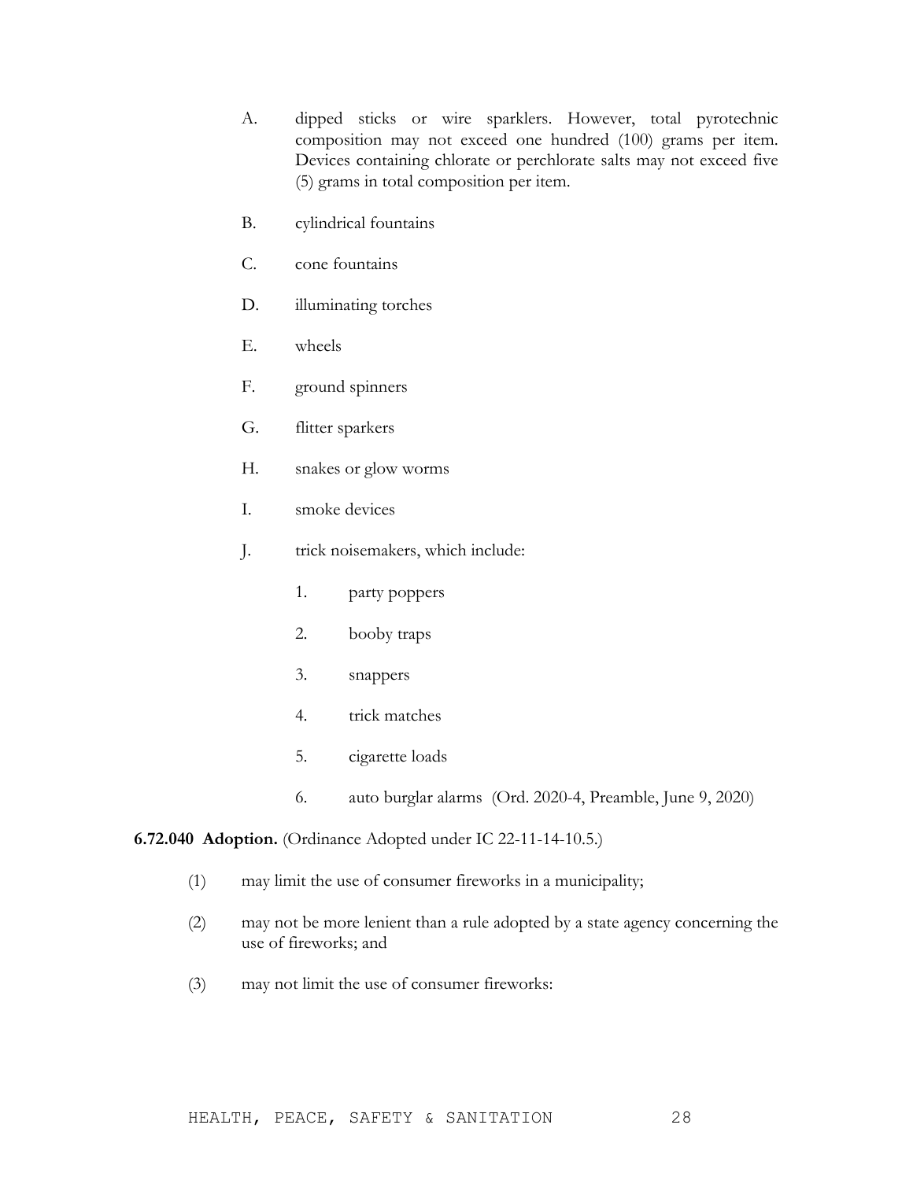- A. dipped sticks or wire sparklers. However, total pyrotechnic composition may not exceed one hundred (100) grams per item. Devices containing chlorate or perchlorate salts may not exceed five (5) grams in total composition per item.
- B. cylindrical fountains
- C. cone fountains
- D. illuminating torches
- E. wheels
- F. ground spinners
- G. flitter sparkers
- H. snakes or glow worms
- I. smoke devices
- J. trick noisemakers, which include:
	- 1. party poppers
	- 2. booby traps
	- 3. snappers
	- 4. trick matches
	- 5. cigarette loads
	- 6. auto burglar alarms (Ord. 2020-4, Preamble, June 9, 2020)

# **6.72.040 Adoption.** (Ordinance Adopted under IC 22-11-14-10.5.)

- (1) may limit the use of consumer fireworks in a municipality;
- (2) may not be more lenient than a rule adopted by a state agency concerning the use of fireworks; and
- (3) may not limit the use of consumer fireworks: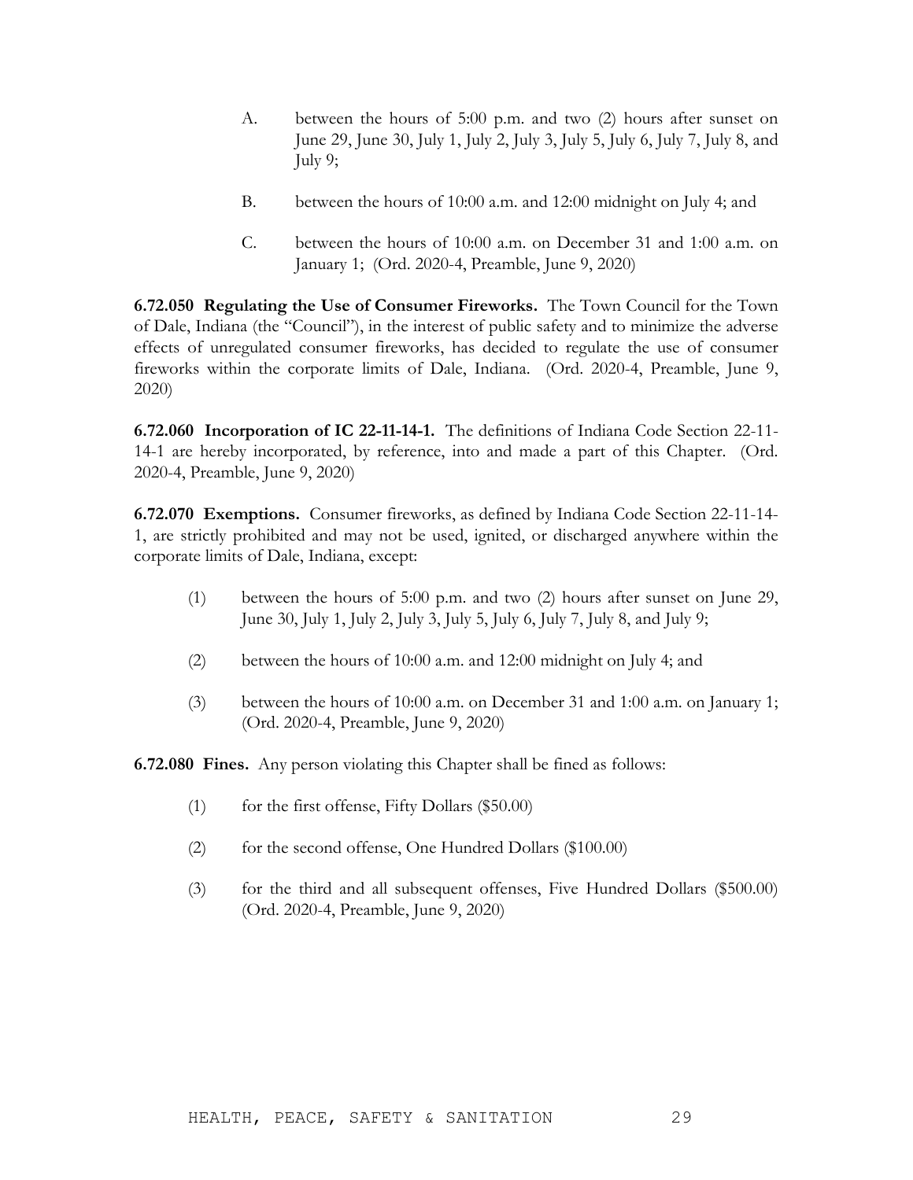- A. between the hours of 5:00 p.m. and two (2) hours after sunset on June 29, June 30, July 1, July 2, July 3, July 5, July 6, July 7, July 8, and July 9;
- B. between the hours of 10:00 a.m. and 12:00 midnight on July 4; and
- C. between the hours of 10:00 a.m. on December 31 and 1:00 a.m. on January 1; (Ord. 2020-4, Preamble, June 9, 2020)

**6.72.050 Regulating the Use of Consumer Fireworks.** The Town Council for the Town of Dale, Indiana (the "Council"), in the interest of public safety and to minimize the adverse effects of unregulated consumer fireworks, has decided to regulate the use of consumer fireworks within the corporate limits of Dale, Indiana. (Ord. 2020-4, Preamble, June 9, 2020)

**6.72.060 Incorporation of IC 22-11-14-1.** The definitions of Indiana Code Section 22-11- 14-1 are hereby incorporated, by reference, into and made a part of this Chapter. (Ord. 2020-4, Preamble, June 9, 2020)

**6.72.070 Exemptions.** Consumer fireworks, as defined by Indiana Code Section 22-11-14- 1, are strictly prohibited and may not be used, ignited, or discharged anywhere within the corporate limits of Dale, Indiana, except:

- (1) between the hours of 5:00 p.m. and two (2) hours after sunset on June 29, June 30, July 1, July 2, July 3, July 5, July 6, July 7, July 8, and July 9;
- (2) between the hours of 10:00 a.m. and 12:00 midnight on July 4; and
- (3) between the hours of 10:00 a.m. on December 31 and 1:00 a.m. on January 1; (Ord. 2020-4, Preamble, June 9, 2020)

**6.72.080 Fines.** Any person violating this Chapter shall be fined as follows:

- $(1)$  for the first offense, Fifty Dollars (\$50.00)
- (2) for the second offense, One Hundred Dollars (\$100.00)
- (3) for the third and all subsequent offenses, Five Hundred Dollars (\$500.00) (Ord. 2020-4, Preamble, June 9, 2020)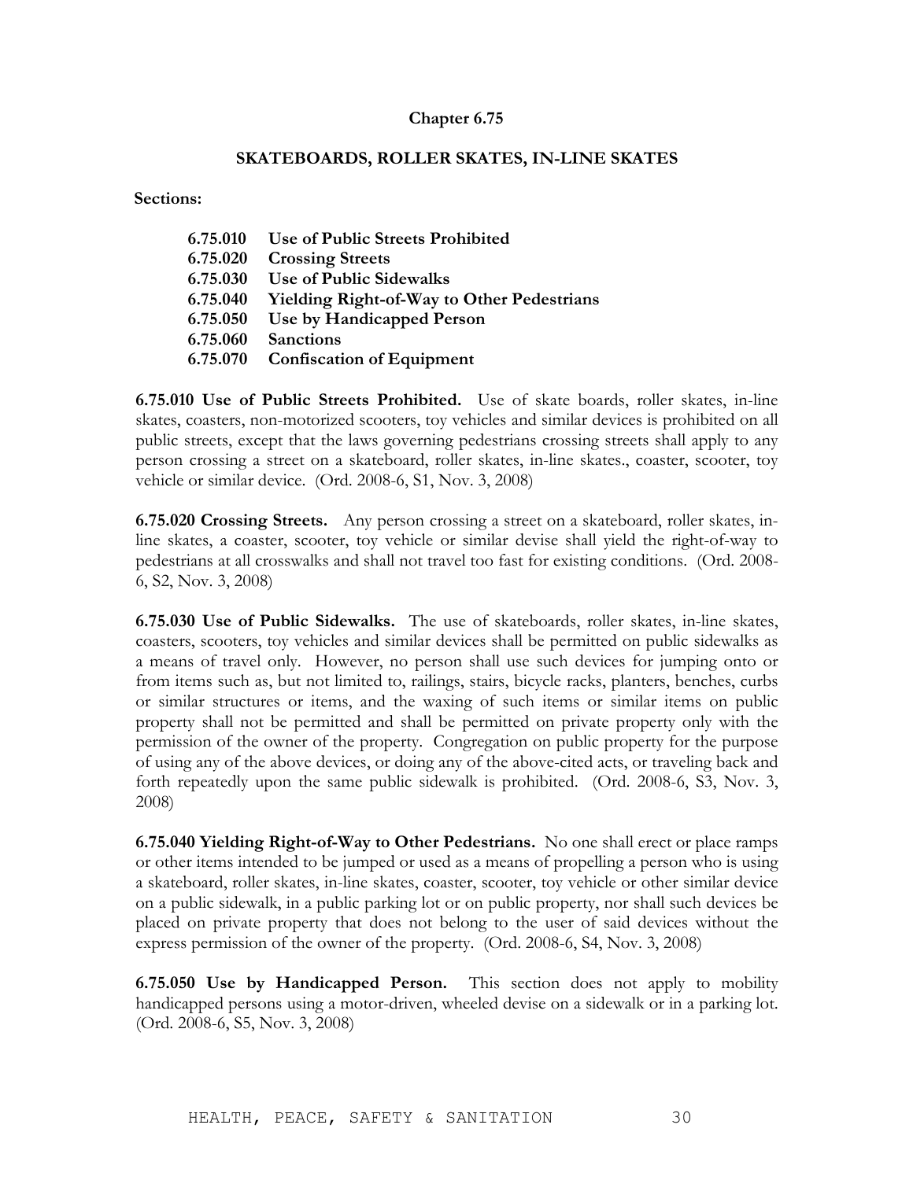### **SKATEBOARDS, ROLLER SKATES, IN-LINE SKATES**

**Sections:**

| 6.75.010 | Use of Public Streets Prohibited                  |
|----------|---------------------------------------------------|
| 6.75.020 | <b>Crossing Streets</b>                           |
| 6.75.030 | Use of Public Sidewalks                           |
| 6.75.040 | <b>Yielding Right-of-Way to Other Pedestrians</b> |
| 6.75.050 | Use by Handicapped Person                         |
| 6.75.060 | <b>Sanctions</b>                                  |
| 6.75.070 | <b>Confiscation of Equipment</b>                  |
|          |                                                   |

**6.75.010 Use of Public Streets Prohibited.** Use of skate boards, roller skates, in-line skates, coasters, non-motorized scooters, toy vehicles and similar devices is prohibited on all public streets, except that the laws governing pedestrians crossing streets shall apply to any person crossing a street on a skateboard, roller skates, in-line skates., coaster, scooter, toy vehicle or similar device. (Ord. 2008-6, S1, Nov. 3, 2008)

**6.75.020 Crossing Streets.** Any person crossing a street on a skateboard, roller skates, inline skates, a coaster, scooter, toy vehicle or similar devise shall yield the right-of-way to pedestrians at all crosswalks and shall not travel too fast for existing conditions. (Ord. 2008- 6, S2, Nov. 3, 2008)

**6.75.030 Use of Public Sidewalks.** The use of skateboards, roller skates, in-line skates, coasters, scooters, toy vehicles and similar devices shall be permitted on public sidewalks as a means of travel only. However, no person shall use such devices for jumping onto or from items such as, but not limited to, railings, stairs, bicycle racks, planters, benches, curbs or similar structures or items, and the waxing of such items or similar items on public property shall not be permitted and shall be permitted on private property only with the permission of the owner of the property. Congregation on public property for the purpose of using any of the above devices, or doing any of the above-cited acts, or traveling back and forth repeatedly upon the same public sidewalk is prohibited. (Ord. 2008-6, S3, Nov. 3, 2008)

**6.75.040 Yielding Right-of-Way to Other Pedestrians.** No one shall erect or place ramps or other items intended to be jumped or used as a means of propelling a person who is using a skateboard, roller skates, in-line skates, coaster, scooter, toy vehicle or other similar device on a public sidewalk, in a public parking lot or on public property, nor shall such devices be placed on private property that does not belong to the user of said devices without the express permission of the owner of the property. (Ord. 2008-6, S4, Nov. 3, 2008)

**6.75.050 Use by Handicapped Person.** This section does not apply to mobility handicapped persons using a motor-driven, wheeled devise on a sidewalk or in a parking lot. (Ord. 2008-6, S5, Nov. 3, 2008)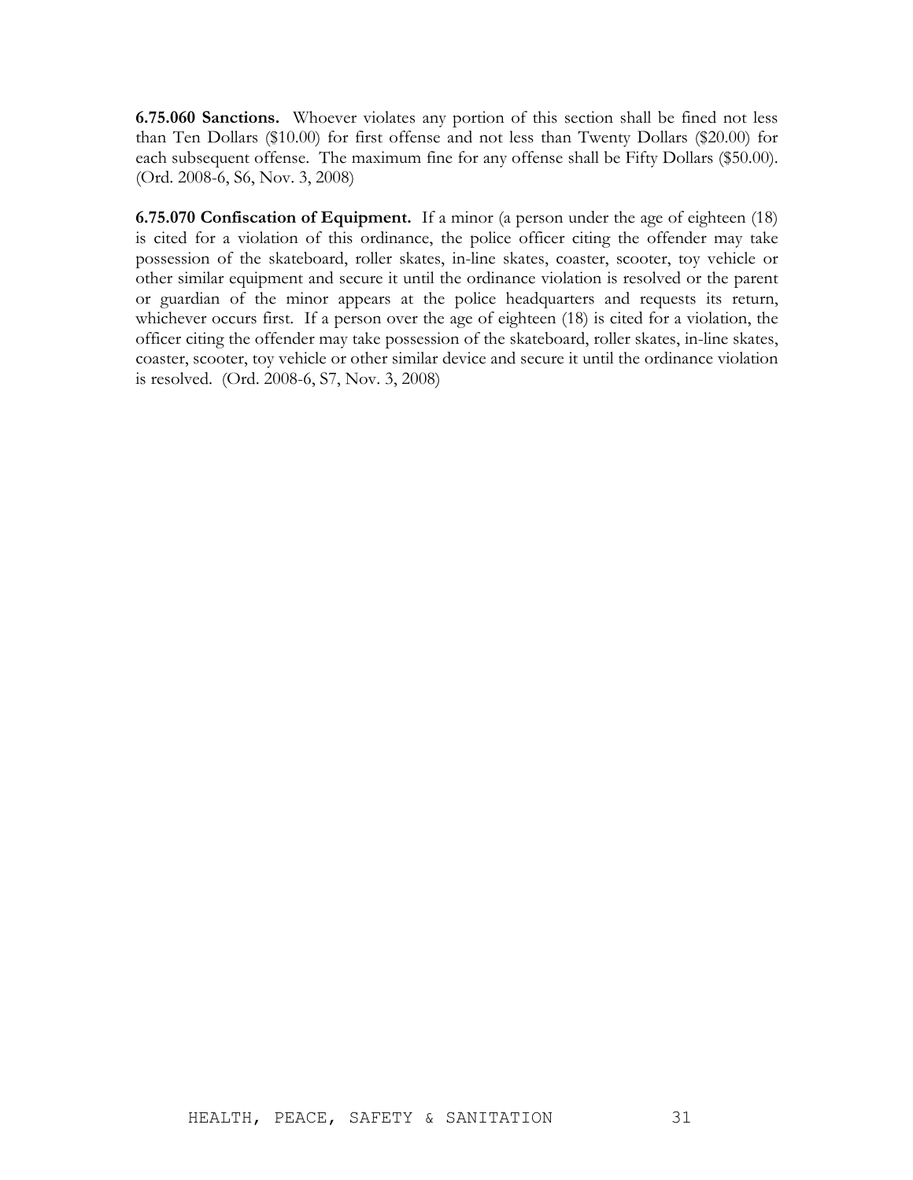**6.75.060 Sanctions.** Whoever violates any portion of this section shall be fined not less than Ten Dollars (\$10.00) for first offense and not less than Twenty Dollars (\$20.00) for each subsequent offense. The maximum fine for any offense shall be Fifty Dollars (\$50.00). (Ord. 2008-6, S6, Nov. 3, 2008)

**6.75.070 Confiscation of Equipment.** If a minor (a person under the age of eighteen (18) is cited for a violation of this ordinance, the police officer citing the offender may take possession of the skateboard, roller skates, in-line skates, coaster, scooter, toy vehicle or other similar equipment and secure it until the ordinance violation is resolved or the parent or guardian of the minor appears at the police headquarters and requests its return, whichever occurs first. If a person over the age of eighteen (18) is cited for a violation, the officer citing the offender may take possession of the skateboard, roller skates, in-line skates, coaster, scooter, toy vehicle or other similar device and secure it until the ordinance violation is resolved. (Ord. 2008-6, S7, Nov. 3, 2008)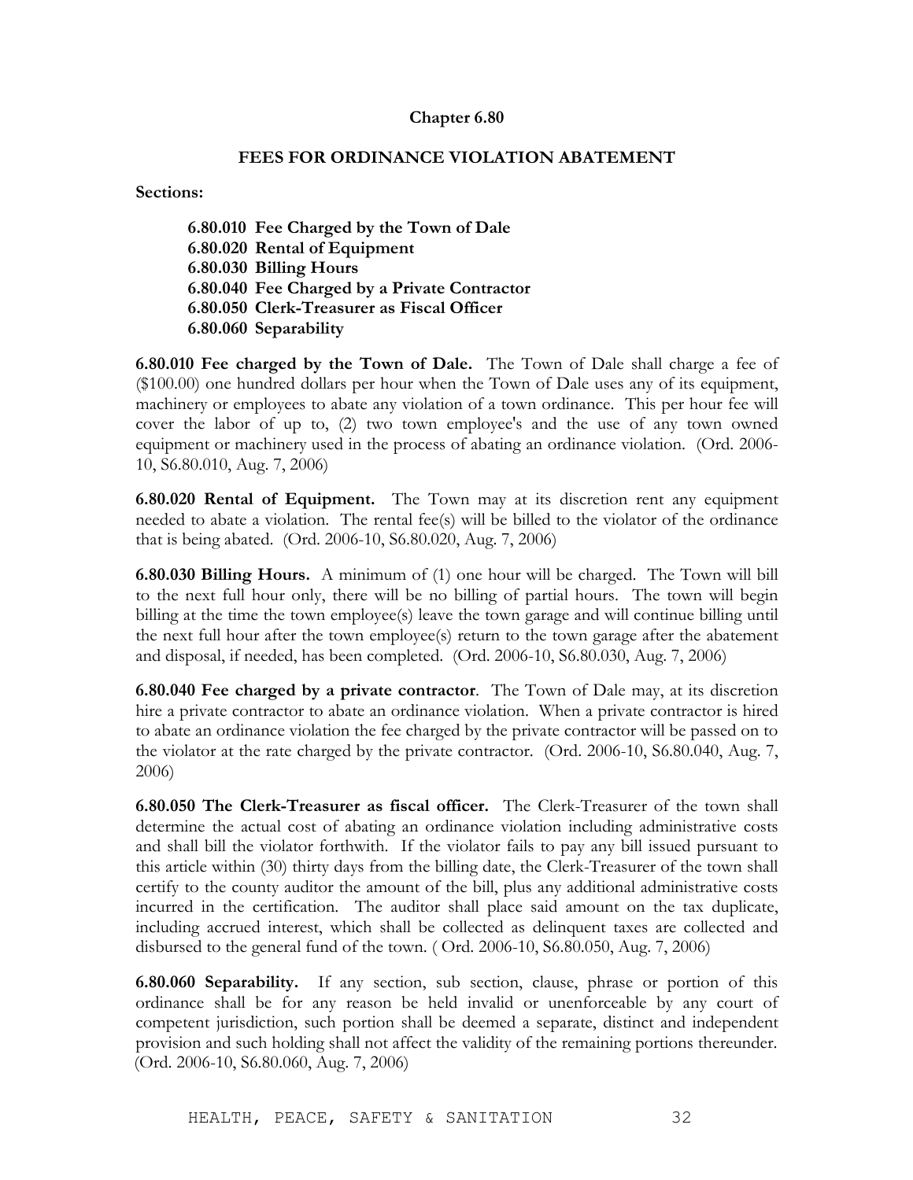### **FEES FOR ORDINANCE VIOLATION ABATEMENT**

**Sections:** 

**6.80.010 Fee Charged by the Town of Dale 6.80.020 Rental of Equipment 6.80.030 Billing Hours 6.80.040 Fee Charged by a Private Contractor 6.80.050 Clerk-Treasurer as Fiscal Officer 6.80.060 Separability**

**6.80.010 Fee charged by the Town of Dale.** The Town of Dale shall charge a fee of (\$100.00) one hundred dollars per hour when the Town of Dale uses any of its equipment, machinery or employees to abate any violation of a town ordinance. This per hour fee will cover the labor of up to, (2) two town employee's and the use of any town owned equipment or machinery used in the process of abating an ordinance violation. (Ord. 2006- 10, S6.80.010, Aug. 7, 2006)

**6.80.020 Rental of Equipment.** The Town may at its discretion rent any equipment needed to abate a violation. The rental fee(s) will be billed to the violator of the ordinance that is being abated. (Ord. 2006-10, S6.80.020, Aug. 7, 2006)

**6.80.030 Billing Hours.** A minimum of (1) one hour will be charged. The Town will bill to the next full hour only, there will be no billing of partial hours. The town will begin billing at the time the town employee(s) leave the town garage and will continue billing until the next full hour after the town employee(s) return to the town garage after the abatement and disposal, if needed, has been completed. (Ord. 2006-10, S6.80.030, Aug. 7, 2006)

**6.80.040 Fee charged by a private contractor**. The Town of Dale may, at its discretion hire a private contractor to abate an ordinance violation. When a private contractor is hired to abate an ordinance violation the fee charged by the private contractor will be passed on to the violator at the rate charged by the private contractor. (Ord. 2006-10, S6.80.040, Aug. 7, 2006)

**6.80.050 The Clerk-Treasurer as fiscal officer.** The Clerk-Treasurer of the town shall determine the actual cost of abating an ordinance violation including administrative costs and shall bill the violator forthwith. If the violator fails to pay any bill issued pursuant to this article within (30) thirty days from the billing date, the Clerk-Treasurer of the town shall certify to the county auditor the amount of the bill, plus any additional administrative costs incurred in the certification. The auditor shall place said amount on the tax duplicate, including accrued interest, which shall be collected as delinquent taxes are collected and disbursed to the general fund of the town. ( Ord. 2006-10, S6.80.050, Aug. 7, 2006)

**6.80.060 Separability.** If any section, sub section, clause, phrase or portion of this ordinance shall be for any reason be held invalid or unenforceable by any court of competent jurisdiction, such portion shall be deemed a separate, distinct and independent provision and such holding shall not affect the validity of the remaining portions thereunder. (Ord. 2006-10, S6.80.060, Aug. 7, 2006)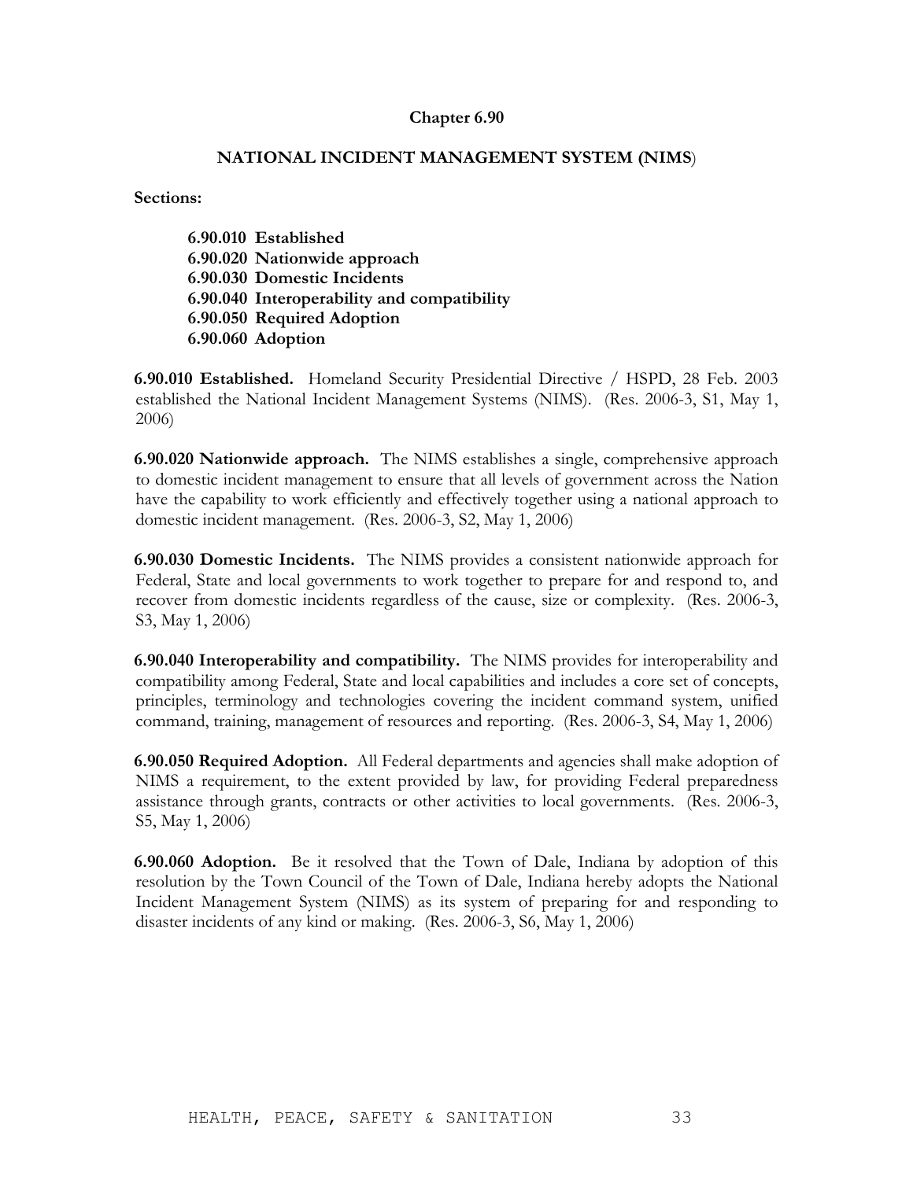### **NATIONAL INCIDENT MANAGEMENT SYSTEM (NIMS**)

**Sections:**

**6.90.010 Established 6.90.020 Nationwide approach 6.90.030 Domestic Incidents 6.90.040 Interoperability and compatibility 6.90.050 Required Adoption 6.90.060 Adoption**

**6.90.010 Established.** Homeland Security Presidential Directive / HSPD, 28 Feb. 2003 established the National Incident Management Systems (NIMS). (Res. 2006-3, S1, May 1, 2006)

**6.90.020 Nationwide approach.** The NIMS establishes a single, comprehensive approach to domestic incident management to ensure that all levels of government across the Nation have the capability to work efficiently and effectively together using a national approach to domestic incident management. (Res. 2006-3, S2, May 1, 2006)

**6.90.030 Domestic Incidents.** The NIMS provides a consistent nationwide approach for Federal, State and local governments to work together to prepare for and respond to, and recover from domestic incidents regardless of the cause, size or complexity. (Res. 2006-3, S3, May 1, 2006)

**6.90.040 Interoperability and compatibility.** The NIMS provides for interoperability and compatibility among Federal, State and local capabilities and includes a core set of concepts, principles, terminology and technologies covering the incident command system, unified command, training, management of resources and reporting. (Res. 2006-3, S4, May 1, 2006)

**6.90.050 Required Adoption.** All Federal departments and agencies shall make adoption of NIMS a requirement, to the extent provided by law, for providing Federal preparedness assistance through grants, contracts or other activities to local governments. (Res. 2006-3, S5, May 1, 2006)

**6.90.060 Adoption.** Be it resolved that the Town of Dale, Indiana by adoption of this resolution by the Town Council of the Town of Dale, Indiana hereby adopts the National Incident Management System (NIMS) as its system of preparing for and responding to disaster incidents of any kind or making. (Res. 2006-3, S6, May 1, 2006)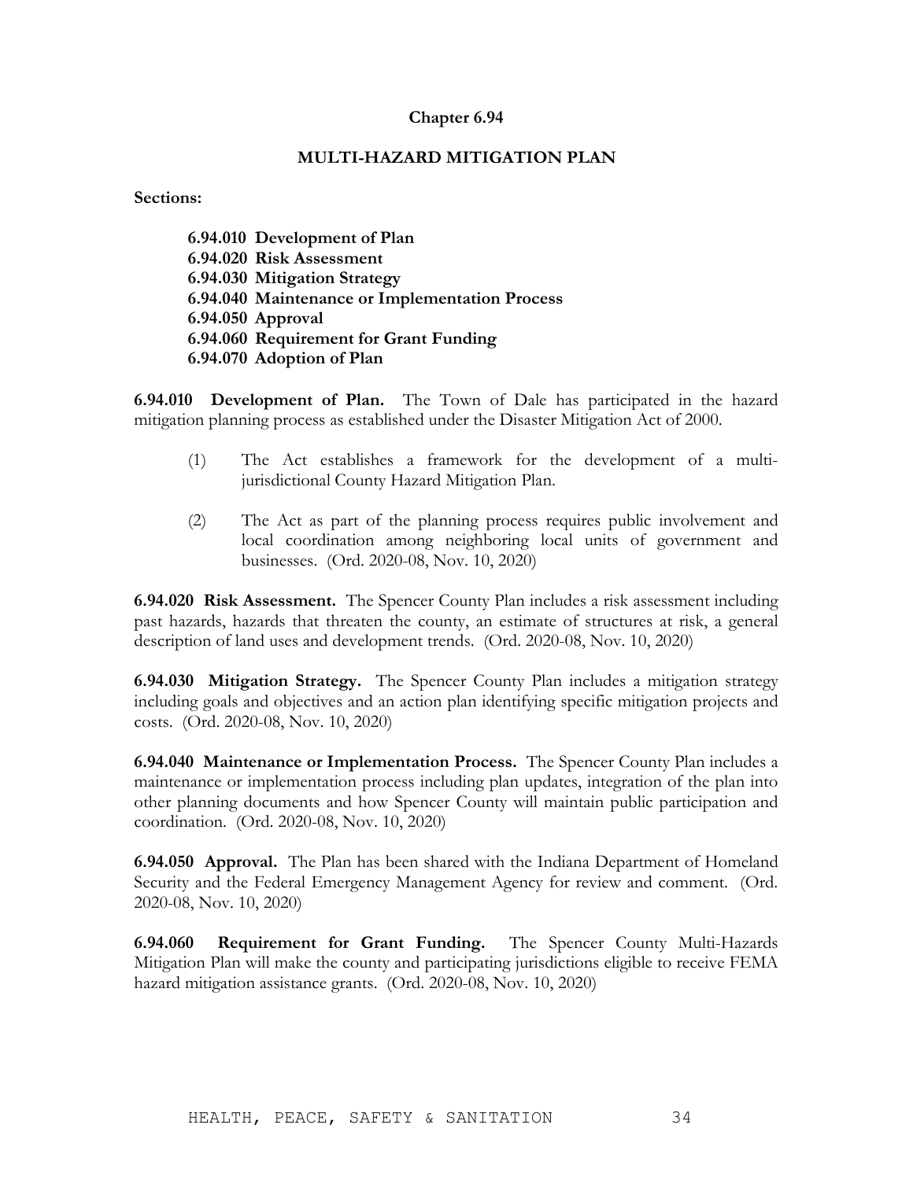### **MULTI-HAZARD MITIGATION PLAN**

**Sections:**

**6.94.010 Development of Plan 6.94.020 Risk Assessment 6.94.030 Mitigation Strategy 6.94.040 Maintenance or Implementation Process 6.94.050 Approval 6.94.060 Requirement for Grant Funding 6.94.070 Adoption of Plan**

**6.94.010 Development of Plan.** The Town of Dale has participated in the hazard mitigation planning process as established under the Disaster Mitigation Act of 2000.

- (1) The Act establishes a framework for the development of a multijurisdictional County Hazard Mitigation Plan.
- (2) The Act as part of the planning process requires public involvement and local coordination among neighboring local units of government and businesses. (Ord. 2020-08, Nov. 10, 2020)

**6.94.020 Risk Assessment.** The Spencer County Plan includes a risk assessment including past hazards, hazards that threaten the county, an estimate of structures at risk, a general description of land uses and development trends. (Ord. 2020-08, Nov. 10, 2020)

**6.94.030 Mitigation Strategy.** The Spencer County Plan includes a mitigation strategy including goals and objectives and an action plan identifying specific mitigation projects and costs. (Ord. 2020-08, Nov. 10, 2020)

**6.94.040 Maintenance or Implementation Process.** The Spencer County Plan includes a maintenance or implementation process including plan updates, integration of the plan into other planning documents and how Spencer County will maintain public participation and coordination. (Ord. 2020-08, Nov. 10, 2020)

**6.94.050 Approval.** The Plan has been shared with the Indiana Department of Homeland Security and the Federal Emergency Management Agency for review and comment. (Ord. 2020-08, Nov. 10, 2020)

**6.94.060 Requirement for Grant Funding.** The Spencer County Multi-Hazards Mitigation Plan will make the county and participating jurisdictions eligible to receive FEMA hazard mitigation assistance grants. (Ord. 2020-08, Nov. 10, 2020)